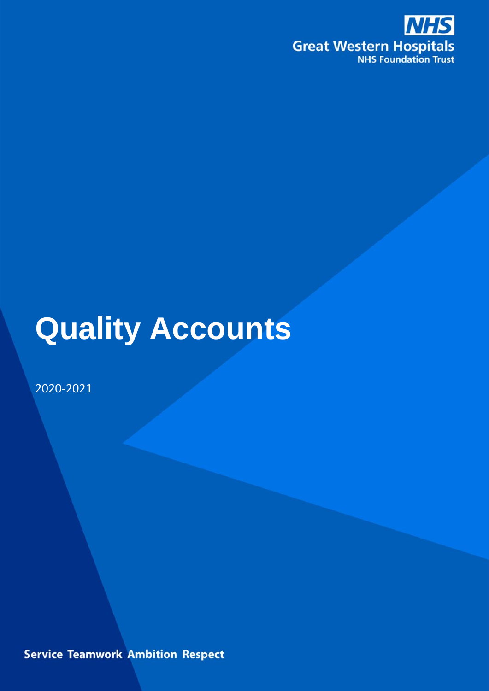

# **Quality Accounts**

2020-2021

**Service Teamwork Ambition Respect**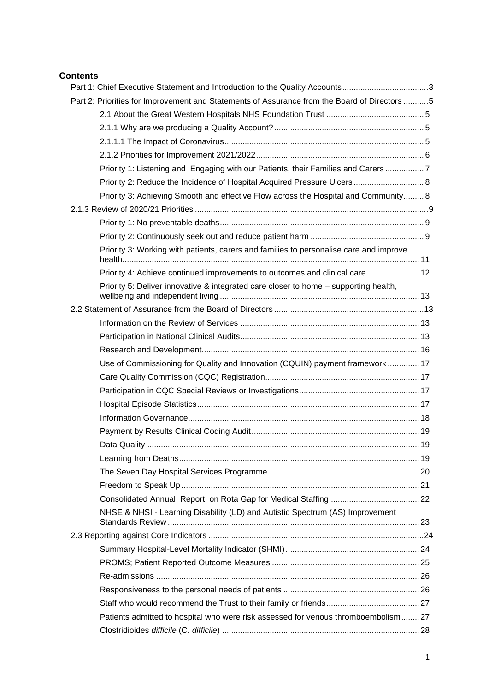## **Contents**

| Part 1: Chief Executive Statement and Introduction to the Quality Accounts3                  |  |
|----------------------------------------------------------------------------------------------|--|
| Part 2: Priorities for Improvement and Statements of Assurance from the Board of Directors 5 |  |
|                                                                                              |  |
|                                                                                              |  |
|                                                                                              |  |
|                                                                                              |  |
| Priority 1: Listening and Engaging with our Patients, their Families and Carers 7            |  |
| Priority 2: Reduce the Incidence of Hospital Acquired Pressure Ulcers 8                      |  |
| Priority 3: Achieving Smooth and effective Flow across the Hospital and Community 8          |  |
|                                                                                              |  |
|                                                                                              |  |
|                                                                                              |  |
| Priority 3: Working with patients, carers and families to personalise care and improve       |  |
| Priority 4: Achieve continued improvements to outcomes and clinical care  12                 |  |
| Priority 5: Deliver innovative & integrated care closer to home – supporting health,         |  |
|                                                                                              |  |
|                                                                                              |  |
|                                                                                              |  |
|                                                                                              |  |
| Use of Commissioning for Quality and Innovation (CQUIN) payment framework  17                |  |
|                                                                                              |  |
|                                                                                              |  |
|                                                                                              |  |
|                                                                                              |  |
|                                                                                              |  |
|                                                                                              |  |
|                                                                                              |  |
|                                                                                              |  |
|                                                                                              |  |
|                                                                                              |  |
| NHSE & NHSI - Learning Disability (LD) and Autistic Spectrum (AS) Improvement                |  |
|                                                                                              |  |
|                                                                                              |  |
|                                                                                              |  |
|                                                                                              |  |
|                                                                                              |  |
|                                                                                              |  |
| Patients admitted to hospital who were risk assessed for venous thromboembolism 27           |  |
|                                                                                              |  |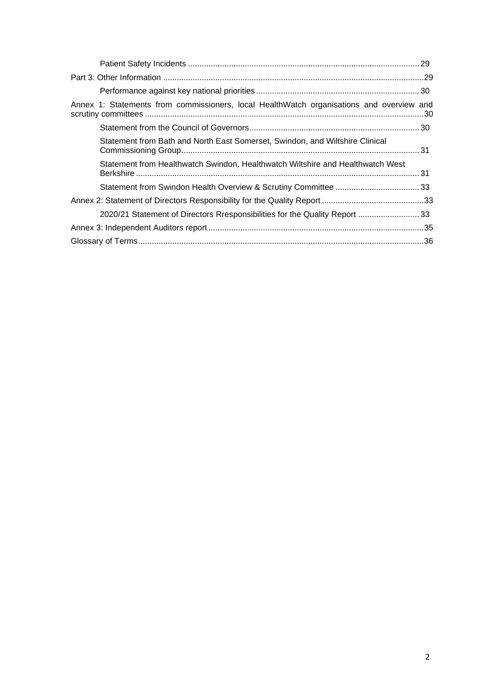<span id="page-2-0"></span>

| Annex 1: Statements from commissioners, local HealthWatch organisations and overview and |  |
|------------------------------------------------------------------------------------------|--|
|                                                                                          |  |
| Statement from Bath and North East Somerset, Swindon, and Wiltshire Clinical             |  |
| Statement from Healthwatch Swindon, Healthwatch Wiltshire and Healthwatch West           |  |
|                                                                                          |  |
|                                                                                          |  |
| 2020/21 Statement of Directors Rresponsibilities for the Quality Report  33              |  |
|                                                                                          |  |
|                                                                                          |  |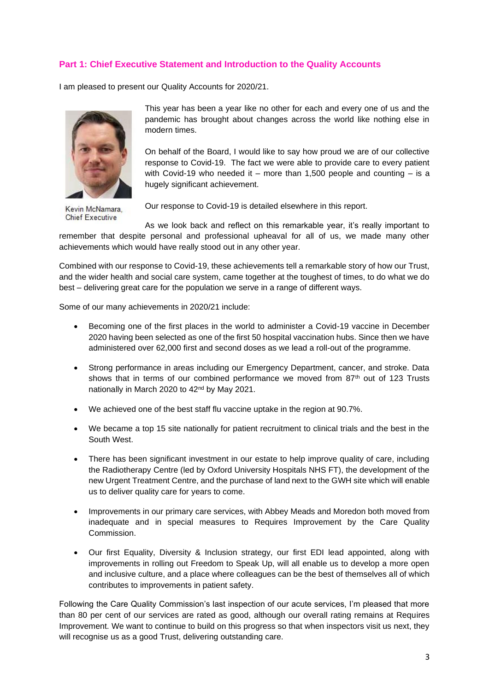## **Part 1: Chief Executive Statement and Introduction to the Quality Accounts**

I am pleased to present our Quality Accounts for 2020/21.



Kevin McNamara, Chief Executive

This year has been a year like no other for each and every one of us and the pandemic has brought about changes across the world like nothing else in modern times.

On behalf of the Board, I would like to say how proud we are of our collective response to Covid-19. The fact we were able to provide care to every patient with Covid-19 who needed it – more than 1,500 people and counting – is a hugely significant achievement.

Our response to Covid-19 is detailed elsewhere in this report.

As we look back and reflect on this remarkable year, it's really important to remember that despite personal and professional upheaval for all of us, we made many other achievements which would have really stood out in any other year.

Combined with our response to Covid-19, these achievements tell a remarkable story of how our Trust, and the wider health and social care system, came together at the toughest of times, to do what we do best – delivering great care for the population we serve in a range of different ways.

Some of our many achievements in 2020/21 include:

- Becoming one of the first places in the world to administer a Covid-19 vaccine in December 2020 having been selected as one of the first 50 hospital vaccination hubs. Since then we have administered over 62,000 first and second doses as we lead a roll-out of the programme.
- Strong performance in areas including our Emergency Department, cancer, and stroke. Data shows that in terms of our combined performance we moved from 87<sup>th</sup> out of 123 Trusts nationally in March 2020 to 42nd by May 2021.
- We achieved one of the best staff flu vaccine uptake in the region at 90.7%.
- We became a top 15 site nationally for patient recruitment to clinical trials and the best in the South West.
- There has been significant investment in our estate to help improve quality of care, including the Radiotherapy Centre (led by Oxford University Hospitals NHS FT), the development of the new Urgent Treatment Centre, and the purchase of land next to the GWH site which will enable us to deliver quality care for years to come.
- Improvements in our primary care services, with Abbey Meads and Moredon both moved from inadequate and in special measures to Requires Improvement by the Care Quality Commission.
- Our first Equality, Diversity & Inclusion strategy, our first EDI lead appointed, along with improvements in rolling out Freedom to Speak Up, will all enable us to develop a more open and inclusive culture, and a place where colleagues can be the best of themselves all of which contributes to improvements in patient safety.

Following the Care Quality Commission's last inspection of our acute services, I'm pleased that more than 80 per cent of our services are rated as good, although our overall rating remains at Requires Improvement. We want to continue to build on this progress so that when inspectors visit us next, they will recognise us as a good Trust, delivering outstanding care.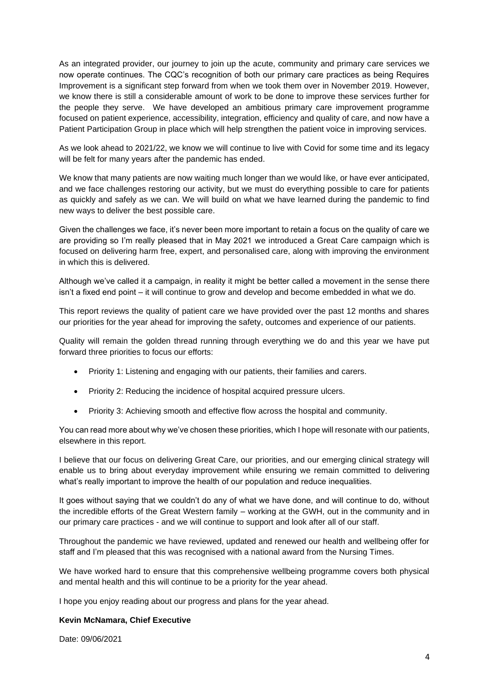As an integrated provider, our journey to join up the acute, community and primary care services we now operate continues. The CQC's recognition of both our primary care practices as being Requires Improvement is a significant step forward from when we took them over in November 2019. However, we know there is still a considerable amount of work to be done to improve these services further for the people they serve. We have developed an ambitious primary care improvement programme focused on patient experience, accessibility, integration, efficiency and quality of care, and now have a Patient Participation Group in place which will help strengthen the patient voice in improving services.

As we look ahead to 2021/22, we know we will continue to live with Covid for some time and its legacy will be felt for many years after the pandemic has ended.

We know that many patients are now waiting much longer than we would like, or have ever anticipated, and we face challenges restoring our activity, but we must do everything possible to care for patients as quickly and safely as we can. We will build on what we have learned during the pandemic to find new ways to deliver the best possible care.

Given the challenges we face, it's never been more important to retain a focus on the quality of care we are providing so I'm really pleased that in May 2021 we introduced a Great Care campaign which is focused on delivering harm free, expert, and personalised care, along with improving the environment in which this is delivered.

Although we've called it a campaign, in reality it might be better called a movement in the sense there isn't a fixed end point – it will continue to grow and develop and become embedded in what we do.

This report reviews the quality of patient care we have provided over the past 12 months and shares our priorities for the year ahead for improving the safety, outcomes and experience of our patients.

Quality will remain the golden thread running through everything we do and this year we have put forward three priorities to focus our efforts:

- Priority 1: Listening and engaging with our patients, their families and carers.
- Priority 2: Reducing the incidence of hospital acquired pressure ulcers.
- Priority 3: Achieving smooth and effective flow across the hospital and community.

You can read more about why we've chosen these priorities, which I hope will resonate with our patients, elsewhere in this report.

I believe that our focus on delivering Great Care, our priorities, and our emerging clinical strategy will enable us to bring about everyday improvement while ensuring we remain committed to delivering what's really important to improve the health of our population and reduce inequalities.

It goes without saying that we couldn't do any of what we have done, and will continue to do, without the incredible efforts of the Great Western family – working at the GWH, out in the community and in our primary care practices - and we will continue to support and look after all of our staff.

Throughout the pandemic we have reviewed, updated and renewed our health and wellbeing offer for staff and I'm pleased that this was recognised with a national award from the Nursing Times.

We have worked hard to ensure that this comprehensive wellbeing programme covers both physical and mental health and this will continue to be a priority for the year ahead.

I hope you enjoy reading about our progress and plans for the year ahead.

#### **Kevin McNamara, Chief Executive**

<span id="page-4-0"></span>Date: 09/06/2021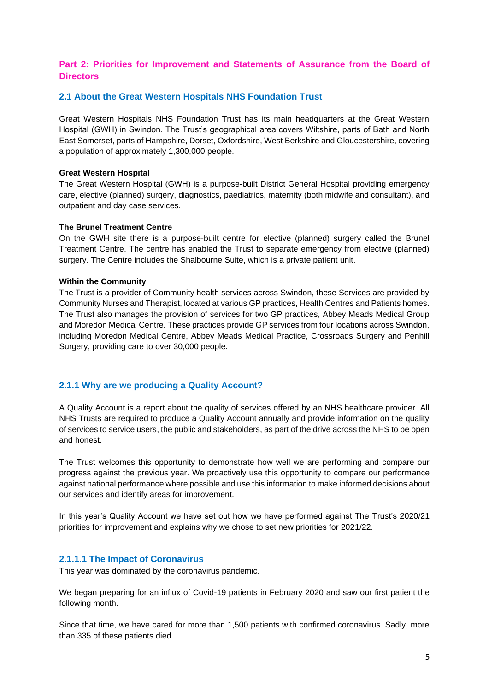## **Part 2: Priorities for Improvement and Statements of Assurance from the Board of Directors**

## <span id="page-5-0"></span>**2.1 About the Great Western Hospitals NHS Foundation Trust**

Great Western Hospitals NHS Foundation Trust has its main headquarters at the Great Western Hospital (GWH) in Swindon. The Trust's geographical area covers Wiltshire, parts of Bath and North East Somerset, parts of Hampshire, Dorset, Oxfordshire, West Berkshire and Gloucestershire, covering a population of approximately 1,300,000 people.

#### **Great Western Hospital**

The Great Western Hospital (GWH) is a purpose-built District General Hospital providing emergency care, elective (planned) surgery, diagnostics, paediatrics, maternity (both midwife and consultant), and outpatient and day case services.

#### **The Brunel Treatment Centre**

On the GWH site there is a purpose-built centre for elective (planned) surgery called the Brunel Treatment Centre. The centre has enabled the Trust to separate emergency from elective (planned) surgery. The Centre includes the Shalbourne Suite, which is a private patient unit.

#### **Within the Community**

The Trust is a provider of Community health services across Swindon, these Services are provided by Community Nurses and Therapist, located at various GP practices, Health Centres and Patients homes. The Trust also manages the provision of services for two GP practices, Abbey Meads Medical Group and Moredon Medical Centre. These practices provide GP services from four locations across Swindon, including Moredon Medical Centre, Abbey Meads Medical Practice, Crossroads Surgery and Penhill Surgery, providing care to over 30,000 people.

#### <span id="page-5-1"></span>**2.1.1 Why are we producing a Quality Account?**

A Quality Account is a report about the quality of services offered by an NHS healthcare provider. All NHS Trusts are required to produce a Quality Account annually and provide information on the quality of services to service users, the public and stakeholders, as part of the drive across the NHS to be open and honest.

The Trust welcomes this opportunity to demonstrate how well we are performing and compare our progress against the previous year. We proactively use this opportunity to compare our performance against national performance where possible and use this information to make informed decisions about our services and identify areas for improvement.

In this year's Quality Account we have set out how we have performed against The Trust's 2020/21 priorities for improvement and explains why we chose to set new priorities for 2021/22.

#### <span id="page-5-2"></span>**2.1.1.1 The Impact of Coronavirus**

This year was dominated by the coronavirus pandemic.

We began preparing for an influx of Covid-19 patients in February 2020 and saw our first patient the following month.

Since that time, we have cared for more than 1,500 patients with confirmed coronavirus. Sadly, more than 335 of these patients died.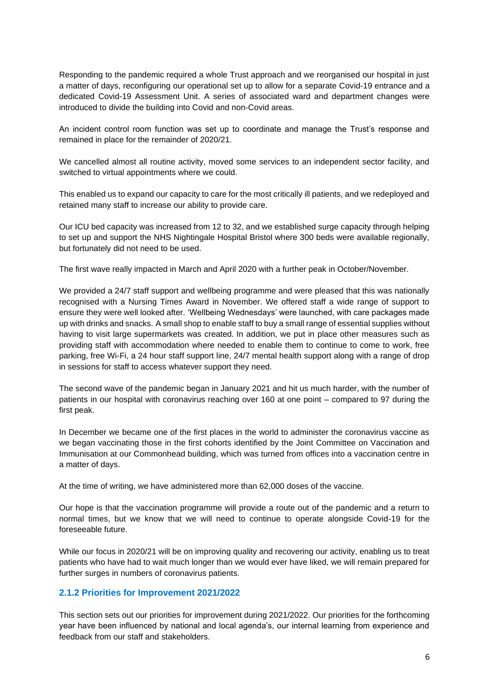Responding to the pandemic required a whole Trust approach and we reorganised our hospital in just a matter of days, reconfiguring our operational set up to allow for a separate Covid-19 entrance and a dedicated Covid-19 Assessment Unit. A series of associated ward and department changes were introduced to divide the building into Covid and non-Covid areas.

An incident control room function was set up to coordinate and manage the Trust's response and remained in place for the remainder of 2020/21.

We cancelled almost all routine activity, moved some services to an independent sector facility, and switched to virtual appointments where we could.

This enabled us to expand our capacity to care for the most critically ill patients, and we redeployed and retained many staff to increase our ability to provide care.

Our ICU bed capacity was increased from 12 to 32, and we established surge capacity through helping to set up and support the NHS Nightingale Hospital Bristol where 300 beds were available regionally, but fortunately did not need to be used.

The first wave really impacted in March and April 2020 with a further peak in October/November.

We provided a 24/7 staff support and wellbeing programme and were pleased that this was nationally recognised with a Nursing Times Award in November. We offered staff a wide range of support to ensure they were well looked after. 'Wellbeing Wednesdays' were launched, with care packages made up with drinks and snacks. A small shop to enable staff to buy a small range of essential supplies without having to visit large supermarkets was created. In addition, we put in place other measures such as providing staff with accommodation where needed to enable them to continue to come to work, free parking, free Wi-Fi, a 24 hour staff support line, 24/7 mental health support along with a range of drop in sessions for staff to access whatever support they need.

The second wave of the pandemic began in January 2021 and hit us much harder, with the number of patients in our hospital with coronavirus reaching over 160 at one point – compared to 97 during the first peak.

In December we became one of the first places in the world to administer the coronavirus vaccine as we began vaccinating those in the first cohorts identified by the Joint Committee on Vaccination and Immunisation at our Commonhead building, which was turned from offices into a vaccination centre in a matter of days.

At the time of writing, we have administered more than 62,000 doses of the vaccine.

Our hope is that the vaccination programme will provide a route out of the pandemic and a return to normal times, but we know that we will need to continue to operate alongside Covid-19 for the foreseeable future.

While our focus in 2020/21 will be on improving quality and recovering our activity, enabling us to treat patients who have had to wait much longer than we would ever have liked, we will remain prepared for further surges in numbers of coronavirus patients.

## <span id="page-6-0"></span>**2.1.2 Priorities for Improvement 2021/2022**

This section sets out our priorities for improvement during 2021/2022. Our priorities for the forthcoming year have been influenced by national and local agenda's, our internal learning from experience and feedback from our staff and stakeholders.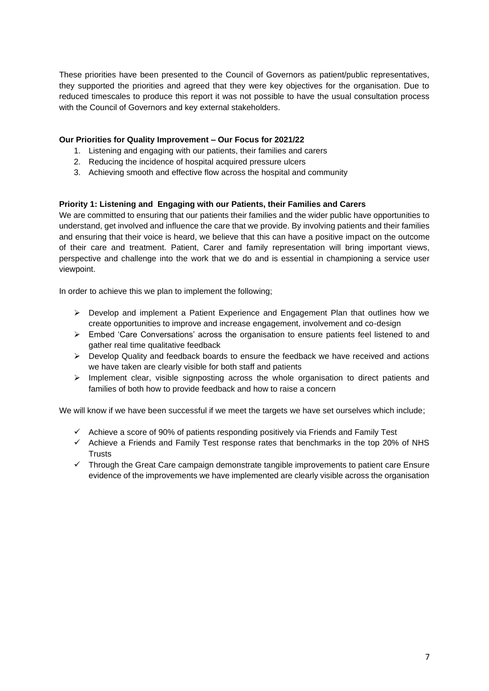These priorities have been presented to the Council of Governors as patient/public representatives, they supported the priorities and agreed that they were key objectives for the organisation. Due to reduced timescales to produce this report it was not possible to have the usual consultation process with the Council of Governors and key external stakeholders.

## **Our Priorities for Quality Improvement – Our Focus for 2021/22**

- 1. Listening and engaging with our patients, their families and carers
- 2. Reducing the incidence of hospital acquired pressure ulcers
- 3. Achieving smooth and effective flow across the hospital and community

#### <span id="page-7-0"></span>**Priority 1: Listening and Engaging with our Patients, their Families and Carers**

We are committed to ensuring that our patients their families and the wider public have opportunities to understand, get involved and influence the care that we provide. By involving patients and their families and ensuring that their voice is heard, we believe that this can have a positive impact on the outcome of their care and treatment. Patient, Carer and family representation will bring important views, perspective and challenge into the work that we do and is essential in championing a service user viewpoint.

In order to achieve this we plan to implement the following;

- $\triangleright$  Develop and implement a Patient Experience and Engagement Plan that outlines how we create opportunities to improve and increase engagement, involvement and co-design
- ➢ Embed 'Care Conversations' across the organisation to ensure patients feel listened to and gather real time qualitative feedback
- $\triangleright$  Develop Quality and feedback boards to ensure the feedback we have received and actions we have taken are clearly visible for both staff and patients
- $\triangleright$  Implement clear, visible signposting across the whole organisation to direct patients and families of both how to provide feedback and how to raise a concern

We will know if we have been successful if we meet the targets we have set ourselves which include;

- $\checkmark$  Achieve a score of 90% of patients responding positively via Friends and Family Test
- $\checkmark$  Achieve a Friends and Family Test response rates that benchmarks in the top 20% of NHS **Trusts**
- ✓ Through the Great Care campaign demonstrate tangible improvements to patient care Ensure evidence of the improvements we have implemented are clearly visible across the organisation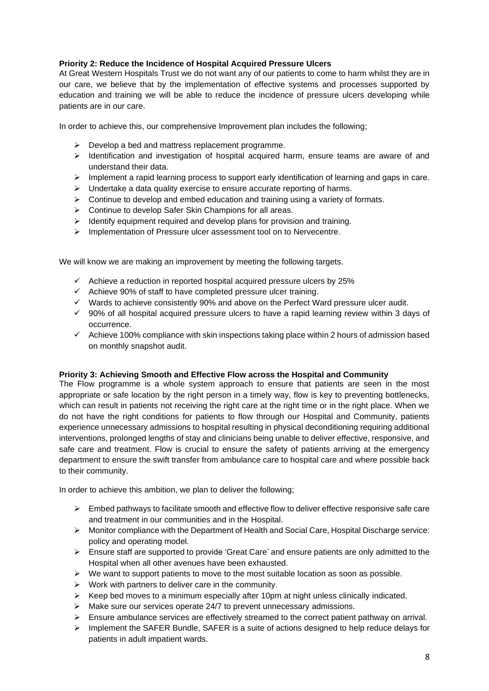## <span id="page-8-0"></span>**Priority 2: Reduce the Incidence of Hospital Acquired Pressure Ulcers**

At Great Western Hospitals Trust we do not want any of our patients to come to harm whilst they are in our care, we believe that by the implementation of effective systems and processes supported by education and training we will be able to reduce the incidence of pressure ulcers developing while patients are in our care.

In order to achieve this, our comprehensive Improvement plan includes the following;

- ➢ Develop a bed and mattress replacement programme.
- ➢ Identification and investigation of hospital acquired harm, ensure teams are aware of and understand their data.
- $\triangleright$  Implement a rapid learning process to support early identification of learning and gaps in care.
- ➢ Undertake a data quality exercise to ensure accurate reporting of harms.
- $\triangleright$  Continue to develop and embed education and training using a variety of formats.
- ➢ Continue to develop Safer Skin Champions for all areas.
- $\geq$  Identify equipment required and develop plans for provision and training.
- ➢ Implementation of Pressure ulcer assessment tool on to Nervecentre.

We will know we are making an improvement by meeting the following targets.

- $\checkmark$  Achieve a reduction in reported hospital acquired pressure ulcers by 25%
- $\checkmark$  Achieve 90% of staff to have completed pressure ulcer training.
- ✓ Wards to achieve consistently 90% and above on the Perfect Ward pressure ulcer audit.
- ✓ 90% of all hospital acquired pressure ulcers to have a rapid learning review within 3 days of occurrence.
- ✓ Achieve 100% compliance with skin inspections taking place within 2 hours of admission based on monthly snapshot audit.

#### <span id="page-8-1"></span>**Priority 3: Achieving Smooth and Effective Flow across the Hospital and Community**

The Flow programme is a whole system approach to ensure that patients are seen in the most appropriate or safe location by the right person in a timely way, flow is key to preventing bottlenecks, which can result in patients not receiving the right care at the right time or in the right place. When we do not have the right conditions for patients to flow through our Hospital and Community, patients experience unnecessary admissions to hospital resulting in physical deconditioning requiring additional interventions, prolonged lengths of stay and clinicians being unable to deliver effective, responsive, and safe care and treatment. Flow is crucial to ensure the safety of patients arriving at the emergency department to ensure the swift transfer from ambulance care to hospital care and where possible back to their community.

In order to achieve this ambition, we plan to deliver the following;

- $\triangleright$  Embed pathways to facilitate smooth and effective flow to deliver effective responsive safe care and treatment in our communities and in the Hospital.
- ➢ Monitor compliance with the Department of Health and Social Care, Hospital Discharge service: policy and operating model.
- ➢ Ensure staff are supported to provide 'Great Care' and ensure patients are only admitted to the Hospital when all other avenues have been exhausted.
- $\triangleright$  We want to support patients to move to the most suitable location as soon as possible.
- ➢ Work with partners to deliver care in the community.
- $\triangleright$  Keep bed moves to a minimum especially after 10pm at night unless clinically indicated.
- ➢ Make sure our services operate 24/7 to prevent unnecessary admissions.
- $\triangleright$  Ensure ambulance services are effectively streamed to the correct patient pathway on arrival.
- $\triangleright$  Implement the SAFER Bundle, SAFER is a suite of actions designed to help reduce delays for patients in adult impatient wards.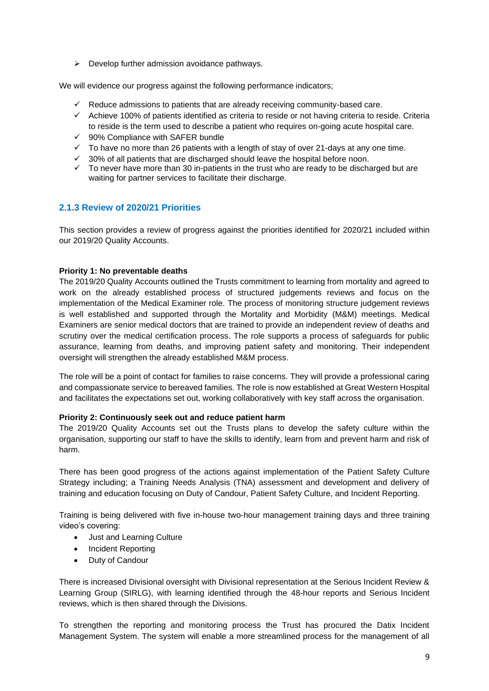$\triangleright$  Develop further admission avoidance pathways.

We will evidence our progress against the following performance indicators;

- $\checkmark$  Reduce admissions to patients that are already receiving community-based care.
- ✓ Achieve 100% of patients identified as criteria to reside or not having criteria to reside. Criteria to reside is the term used to describe a patient who requires on-going acute hospital care.
- ✓ 90% Compliance with SAFER bundle
- $\checkmark$  To have no more than 26 patients with a length of stay of over 21-days at any one time.
- $\checkmark$  30% of all patients that are discharged should leave the hospital before noon.
- ✓ To never have more than 30 in-patients in the trust who are ready to be discharged but are waiting for partner services to facilitate their discharge.

## <span id="page-9-0"></span>**2.1.3 Review of 2020/21 Priorities**

This section provides a review of progress against the priorities identified for 2020/21 included within our 2019/20 Quality Accounts.

#### <span id="page-9-1"></span>**Priority 1: No preventable deaths**

The 2019/20 Quality Accounts outlined the Trusts commitment to learning from mortality and agreed to work on the already established process of structured judgements reviews and focus on the implementation of the Medical Examiner role. The process of monitoring structure judgement reviews is well established and supported through the Mortality and Morbidity (M&M) meetings. Medical Examiners are senior medical doctors that are trained to provide an independent review of deaths and scrutiny over the medical certification process. The role supports a process of safeguards for public assurance, learning from deaths, and improving patient safety and monitoring. Their independent oversight will strengthen the already established M&M process.

The role will be a point of contact for families to raise concerns. They will provide a professional caring and compassionate service to bereaved families. The role is now established at Great Western Hospital and facilitates the expectations set out, working collaboratively with key staff across the organisation.

#### <span id="page-9-2"></span>**Priority 2: Continuously seek out and reduce patient harm**

The 2019/20 Quality Accounts set out the Trusts plans to develop the safety culture within the organisation, supporting our staff to have the skills to identify, learn from and prevent harm and risk of harm.

There has been good progress of the actions against implementation of the Patient Safety Culture Strategy including; a Training Needs Analysis (TNA) assessment and development and delivery of training and education focusing on Duty of Candour, Patient Safety Culture, and Incident Reporting.

Training is being delivered with five in-house two-hour management training days and three training video's covering:

- Just and Learning Culture
- Incident Reporting
- Duty of Candour

There is increased Divisional oversight with Divisional representation at the Serious Incident Review & Learning Group (SIRLG), with learning identified through the 48-hour reports and Serious Incident reviews, which is then shared through the Divisions.

To strengthen the reporting and monitoring process the Trust has procured the Datix Incident Management System. The system will enable a more streamlined process for the management of all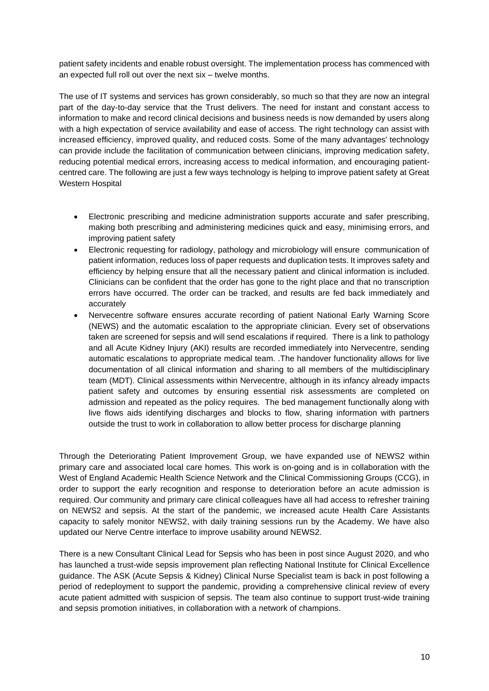patient safety incidents and enable robust oversight. The implementation process has commenced with an expected full roll out over the next six – twelve months.

The use of IT systems and services has grown considerably, so much so that they are now an integral part of the day-to-day service that the Trust delivers. The need for instant and constant access to information to make and record clinical decisions and business needs is now demanded by users along with a high expectation of service availability and ease of access. The right technology can assist with increased efficiency, improved quality, and reduced costs. Some of the many advantages' technology can provide include the facilitation of communication between clinicians, improving medication safety, reducing potential medical errors, increasing access to medical information, and encouraging patientcentred care. The following are just a few ways technology is helping to improve patient safety at Great Western Hospital

- Electronic prescribing and medicine administration supports accurate and safer prescribing, making both prescribing and administering medicines quick and easy, minimising errors, and improving patient safety
- Electronic requesting for radiology, pathology and microbiology will ensure communication of patient information, reduces loss of paper requests and duplication tests. It improves safety and efficiency by helping ensure that all the necessary patient and clinical information is included. Clinicians can be confident that the order has gone to the right place and that no transcription errors have occurred. The order can be tracked, and results are fed back immediately and accurately
- Nervecentre software ensures accurate recording of patient National Early Warning Score (NEWS) and the automatic escalation to the appropriate clinician. Every set of observations taken are screened for sepsis and will send escalations if required. There is a link to pathology and all Acute Kidney Injury (AKI) results are recorded immediately into Nervecentre, sending automatic escalations to appropriate medical team. .The handover functionality allows for live documentation of all clinical information and sharing to all members of the multidisciplinary team (MDT). Clinical assessments within Nervecentre, although in its infancy already impacts patient safety and outcomes by ensuring essential risk assessments are completed on admission and repeated as the policy requires. The bed management functionally along with live flows aids identifying discharges and blocks to flow, sharing information with partners outside the trust to work in collaboration to allow better process for discharge planning

Through the Deteriorating Patient Improvement Group, we have expanded use of NEWS2 within primary care and associated local care homes. This work is on-going and is in collaboration with the West of England Academic Health Science Network and the Clinical Commissioning Groups (CCG), in order to support the early recognition and response to deterioration before an acute admission is required. Our community and primary care clinical colleagues have all had access to refresher training on NEWS2 and sepsis. At the start of the pandemic, we increased acute Health Care Assistants capacity to safely monitor NEWS2, with daily training sessions run by the Academy. We have also updated our Nerve Centre interface to improve usability around NEWS2.

There is a new Consultant Clinical Lead for Sepsis who has been in post since August 2020, and who has launched a trust-wide sepsis improvement plan reflecting National Institute for Clinical Excellence guidance. The ASK (Acute Sepsis & Kidney) Clinical Nurse Specialist team is back in post following a period of redeployment to support the pandemic, providing a comprehensive clinical review of every acute patient admitted with suspicion of sepsis. The team also continue to support trust-wide training and sepsis promotion initiatives, in collaboration with a network of champions.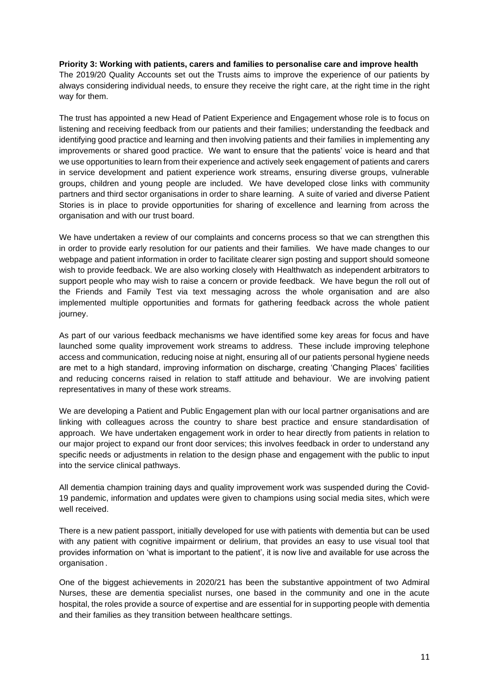#### <span id="page-11-0"></span>**Priority 3: Working with patients, carers and families to personalise care and improve health**

The 2019/20 Quality Accounts set out the Trusts aims to improve the experience of our patients by always considering individual needs, to ensure they receive the right care, at the right time in the right way for them.

The trust has appointed a new Head of Patient Experience and Engagement whose role is to focus on listening and receiving feedback from our patients and their families; understanding the feedback and identifying good practice and learning and then involving patients and their families in implementing any improvements or shared good practice. We want to ensure that the patients' voice is heard and that we use opportunities to learn from their experience and actively seek engagement of patients and carers in service development and patient experience work streams, ensuring diverse groups, vulnerable groups, children and young people are included. We have developed close links with community partners and third sector organisations in order to share learning. A suite of varied and diverse Patient Stories is in place to provide opportunities for sharing of excellence and learning from across the organisation and with our trust board.

We have undertaken a review of our complaints and concerns process so that we can strengthen this in order to provide early resolution for our patients and their families. We have made changes to our webpage and patient information in order to facilitate clearer sign posting and support should someone wish to provide feedback. We are also working closely with Healthwatch as independent arbitrators to support people who may wish to raise a concern or provide feedback. We have begun the roll out of the Friends and Family Test via text messaging across the whole organisation and are also implemented multiple opportunities and formats for gathering feedback across the whole patient journey.

As part of our various feedback mechanisms we have identified some key areas for focus and have launched some quality improvement work streams to address. These include improving telephone access and communication, reducing noise at night, ensuring all of our patients personal hygiene needs are met to a high standard, improving information on discharge, creating 'Changing Places' facilities and reducing concerns raised in relation to staff attitude and behaviour. We are involving patient representatives in many of these work streams.

We are developing a Patient and Public Engagement plan with our local partner organisations and are linking with colleagues across the country to share best practice and ensure standardisation of approach. We have undertaken engagement work in order to hear directly from patients in relation to our major project to expand our front door services; this involves feedback in order to understand any specific needs or adjustments in relation to the design phase and engagement with the public to input into the service clinical pathways.

All dementia champion training days and quality improvement work was suspended during the Covid-19 pandemic, information and updates were given to champions using social media sites, which were well received.

There is a new patient passport, initially developed for use with patients with dementia but can be used with any patient with cognitive impairment or delirium, that provides an easy to use visual tool that provides information on 'what is important to the patient', it is now live and available for use across the organisation .

One of the biggest achievements in 2020/21 has been the substantive appointment of two Admiral Nurses, these are dementia specialist nurses, one based in the community and one in the acute hospital, the roles provide a source of expertise and are essential for in supporting people with dementia and their families as they transition between healthcare settings.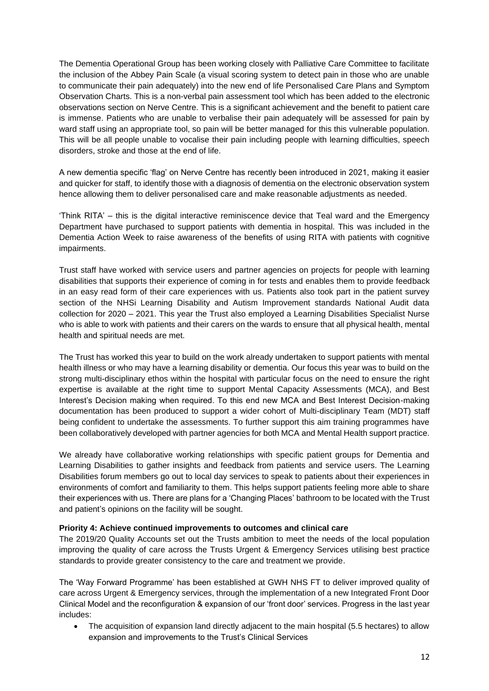The Dementia Operational Group has been working closely with Palliative Care Committee to facilitate the inclusion of the Abbey Pain Scale (a visual scoring system to detect pain in those who are unable to communicate their pain adequately) into the new end of life Personalised Care Plans and Symptom Observation Charts. This is a non-verbal pain assessment tool which has been added to the electronic observations section on Nerve Centre. This is a significant achievement and the benefit to patient care is immense. Patients who are unable to verbalise their pain adequately will be assessed for pain by ward staff using an appropriate tool, so pain will be better managed for this this vulnerable population. This will be all people unable to vocalise their pain including people with learning difficulties, speech disorders, stroke and those at the end of life.

A new dementia specific 'flag' on Nerve Centre has recently been introduced in 2021, making it easier and quicker for staff, to identify those with a diagnosis of dementia on the electronic observation system hence allowing them to deliver personalised care and make reasonable adjustments as needed.

'Think RITA' – this is the digital interactive reminiscence device that Teal ward and the Emergency Department have purchased to support patients with dementia in hospital. This was included in the Dementia Action Week to raise awareness of the benefits of using RITA with patients with cognitive impairments.

Trust staff have worked with service users and partner agencies on projects for people with learning disabilities that supports their experience of coming in for tests and enables them to provide feedback in an easy read form of their care experiences with us. Patients also took part in the patient survey section of the NHSi Learning Disability and Autism Improvement standards National Audit data collection for 2020 – 2021. This year the Trust also employed a Learning Disabilities Specialist Nurse who is able to work with patients and their carers on the wards to ensure that all physical health, mental health and spiritual needs are met.

The Trust has worked this year to build on the work already undertaken to support patients with mental health illness or who may have a learning disability or dementia. Our focus this year was to build on the strong multi-disciplinary ethos within the hospital with particular focus on the need to ensure the right expertise is available at the right time to support Mental Capacity Assessments (MCA), and Best Interest's Decision making when required. To this end new MCA and Best Interest Decision-making documentation has been produced to support a wider cohort of Multi-disciplinary Team (MDT) staff being confident to undertake the assessments. To further support this aim training programmes have been collaboratively developed with partner agencies for both MCA and Mental Health support practice.

We already have collaborative working relationships with specific patient groups for Dementia and Learning Disabilities to gather insights and feedback from patients and service users. The Learning Disabilities forum members go out to local day services to speak to patients about their experiences in environments of comfort and familiarity to them. This helps support patients feeling more able to share their experiences with us. There are plans for a 'Changing Places' bathroom to be located with the Trust and patient's opinions on the facility will be sought.

#### <span id="page-12-0"></span>**Priority 4: Achieve continued improvements to outcomes and clinical care**

The 2019/20 Quality Accounts set out the Trusts ambition to meet the needs of the local population improving the quality of care across the Trusts Urgent & Emergency Services utilising best practice standards to provide greater consistency to the care and treatment we provide.

The 'Way Forward Programme' has been established at GWH NHS FT to deliver improved quality of care across Urgent & Emergency services, through the implementation of a new Integrated Front Door Clinical Model and the reconfiguration & expansion of our 'front door' services. Progress in the last year includes:

• The acquisition of expansion land directly adjacent to the main hospital (5.5 hectares) to allow expansion and improvements to the Trust's Clinical Services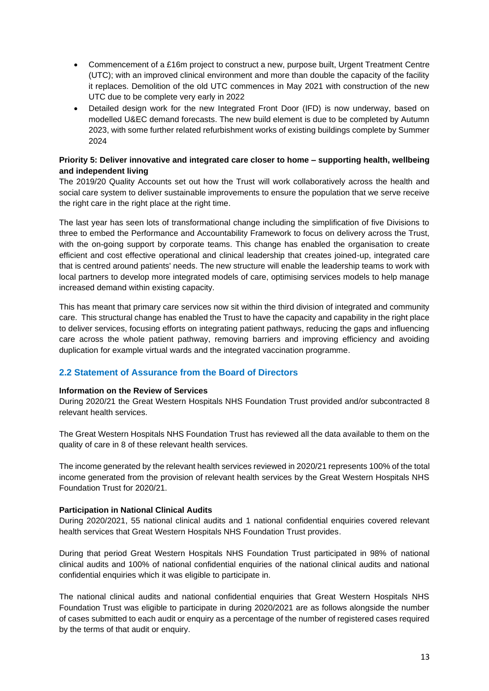- Commencement of a £16m project to construct a new, purpose built, Urgent Treatment Centre (UTC); with an improved clinical environment and more than double the capacity of the facility it replaces. Demolition of the old UTC commences in May 2021 with construction of the new UTC due to be complete very early in 2022
- Detailed design work for the new Integrated Front Door (IFD) is now underway, based on modelled U&EC demand forecasts. The new build element is due to be completed by Autumn 2023, with some further related refurbishment works of existing buildings complete by Summer 2024

#### <span id="page-13-0"></span>**Priority 5: Deliver innovative and integrated care closer to home – supporting health, wellbeing and independent living**

The 2019/20 Quality Accounts set out how the Trust will work collaboratively across the health and social care system to deliver sustainable improvements to ensure the population that we serve receive the right care in the right place at the right time.

The last year has seen lots of transformational change including the simplification of five Divisions to three to embed the Performance and Accountability Framework to focus on delivery across the Trust, with the on-going support by corporate teams. This change has enabled the organisation to create efficient and cost effective operational and clinical leadership that creates joined-up, integrated care that is centred around patients' needs. The new structure will enable the leadership teams to work with local partners to develop more integrated models of care, optimising services models to help manage increased demand within existing capacity.

This has meant that primary care services now sit within the third division of integrated and community care. This structural change has enabled the Trust to have the capacity and capability in the right place to deliver services, focusing efforts on integrating patient pathways, reducing the gaps and influencing care across the whole patient pathway, removing barriers and improving efficiency and avoiding duplication for example virtual wards and the integrated vaccination programme.

## <span id="page-13-1"></span>**2.2 Statement of Assurance from the Board of Directors**

#### <span id="page-13-2"></span>**Information on the Review of Services**

During 2020/21 the Great Western Hospitals NHS Foundation Trust provided and/or subcontracted 8 relevant health services.

The Great Western Hospitals NHS Foundation Trust has reviewed all the data available to them on the quality of care in 8 of these relevant health services.

The income generated by the relevant health services reviewed in 2020/21 represents 100% of the total income generated from the provision of relevant health services by the Great Western Hospitals NHS Foundation Trust for 2020/21.

#### <span id="page-13-3"></span>**Participation in National Clinical Audits**

During 2020/2021, 55 national clinical audits and 1 national confidential enquiries covered relevant health services that Great Western Hospitals NHS Foundation Trust provides.

During that period Great Western Hospitals NHS Foundation Trust participated in 98% of national clinical audits and 100% of national confidential enquiries of the national clinical audits and national confidential enquiries which it was eligible to participate in.

The national clinical audits and national confidential enquiries that Great Western Hospitals NHS Foundation Trust was eligible to participate in during 2020/2021 are as follows alongside the number of cases submitted to each audit or enquiry as a percentage of the number of registered cases required by the terms of that audit or enquiry.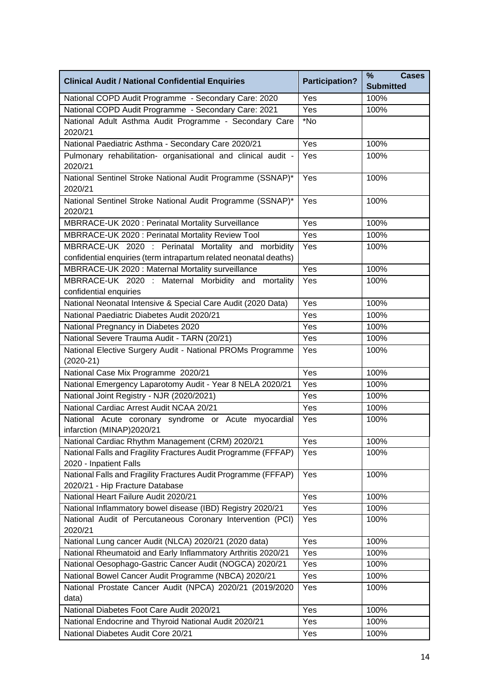| <b>Clinical Audit / National Confidential Enquiries</b>                                                                  | <b>Participation?</b> | %<br><b>Cases</b><br><b>Submitted</b> |
|--------------------------------------------------------------------------------------------------------------------------|-----------------------|---------------------------------------|
| National COPD Audit Programme - Secondary Care: 2020                                                                     | Yes                   | 100%                                  |
| National COPD Audit Programme - Secondary Care: 2021                                                                     | Yes                   | 100%                                  |
| National Adult Asthma Audit Programme - Secondary Care<br>2020/21                                                        | *No                   |                                       |
| National Paediatric Asthma - Secondary Care 2020/21                                                                      | Yes                   | 100%                                  |
| Pulmonary rehabilitation- organisational and clinical audit -<br>2020/21                                                 | Yes                   | 100%                                  |
| National Sentinel Stroke National Audit Programme (SSNAP)*<br>2020/21                                                    | Yes                   | 100%                                  |
| National Sentinel Stroke National Audit Programme (SSNAP)*<br>2020/21                                                    | Yes                   | 100%                                  |
| MBRRACE-UK 2020 : Perinatal Mortality Surveillance                                                                       | Yes                   | 100%                                  |
| MBRRACE-UK 2020 : Perinatal Mortality Review Tool                                                                        | Yes                   | 100%                                  |
| MBRRACE-UK 2020 : Perinatal Mortality and morbidity<br>confidential enquiries (term intrapartum related neonatal deaths) | Yes                   | 100%                                  |
| MBRRACE-UK 2020 : Maternal Mortality surveillance                                                                        | Yes                   | 100%                                  |
| MBRRACE-UK 2020 : Maternal Morbidity and mortality<br>confidential enquiries                                             | Yes                   | 100%                                  |
| National Neonatal Intensive & Special Care Audit (2020 Data)                                                             | Yes                   | 100%                                  |
| National Paediatric Diabetes Audit 2020/21                                                                               | Yes                   | 100%                                  |
| National Pregnancy in Diabetes 2020                                                                                      | Yes                   | 100%                                  |
| National Severe Trauma Audit - TARN (20/21)                                                                              | Yes                   | 100%                                  |
| National Elective Surgery Audit - National PROMs Programme<br>$(2020-21)$                                                | Yes                   | 100%                                  |
| National Case Mix Programme 2020/21                                                                                      | Yes                   | 100%                                  |
| National Emergency Laparotomy Audit - Year 8 NELA 2020/21                                                                | Yes                   | 100%                                  |
| National Joint Registry - NJR (2020/2021)                                                                                | Yes                   | 100%                                  |
| National Cardiac Arrest Audit NCAA 20/21                                                                                 | Yes                   | 100%                                  |
| National Acute coronary syndrome or Acute myocardial<br>infarction (MINAP)2020/21                                        | Yes                   | 100%                                  |
| National Cardiac Rhythm Management (CRM) 2020/21                                                                         | Yes                   | 100%                                  |
| National Falls and Fragility Fractures Audit Programme (FFFAP)<br>2020 - Inpatient Falls                                 | Yes                   | 100%                                  |
| National Falls and Fragility Fractures Audit Programme (FFFAP)<br>2020/21 - Hip Fracture Database                        | Yes                   | 100%                                  |
| National Heart Failure Audit 2020/21                                                                                     | Yes                   | 100%                                  |
| National Inflammatory bowel disease (IBD) Registry 2020/21                                                               | Yes                   | 100%                                  |
| National Audit of Percutaneous Coronary Intervention (PCI)<br>2020/21                                                    | Yes                   | 100%                                  |
| National Lung cancer Audit (NLCA) 2020/21 (2020 data)                                                                    | Yes                   | 100%                                  |
| National Rheumatoid and Early Inflammatory Arthritis 2020/21                                                             | Yes                   | 100%                                  |
| National Oesophago-Gastric Cancer Audit (NOGCA) 2020/21                                                                  | Yes                   | 100%                                  |
| National Bowel Cancer Audit Programme (NBCA) 2020/21                                                                     | Yes                   | 100%                                  |
| National Prostate Cancer Audit (NPCA) 2020/21 (2019/2020<br>data)                                                        | Yes                   | 100%                                  |
| National Diabetes Foot Care Audit 2020/21                                                                                | Yes                   | 100%                                  |
| National Endocrine and Thyroid National Audit 2020/21                                                                    | Yes                   | 100%                                  |
| National Diabetes Audit Core 20/21                                                                                       | Yes                   | 100%                                  |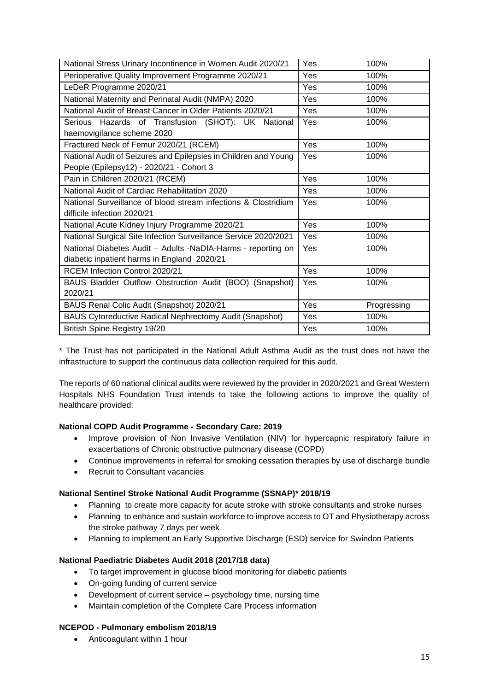| National Stress Urinary Incontinence in Women Audit 2020/21     | Yes | 100%        |
|-----------------------------------------------------------------|-----|-------------|
| Perioperative Quality Improvement Programme 2020/21             | Yes | 100%        |
| LeDeR Programme 2020/21                                         | Yes | 100%        |
| National Maternity and Perinatal Audit (NMPA) 2020              | Yes | 100%        |
| National Audit of Breast Cancer in Older Patients 2020/21       | Yes | 100%        |
| Serious Hazards of Transfusion (SHOT): UK National              | Yes | 100%        |
| haemovigilance scheme 2020                                      |     |             |
| Fractured Neck of Femur 2020/21 (RCEM)                          | Yes | 100%        |
| National Audit of Seizures and Epilepsies in Children and Young | Yes | 100%        |
| People (Epilepsy12) - 2020/21 - Cohort 3                        |     |             |
| Pain in Children 2020/21 (RCEM)                                 | Yes | 100%        |
| National Audit of Cardiac Rehabilitation 2020                   | Yes | 100%        |
| National Surveillance of blood stream infections & Clostridium  | Yes | 100%        |
| difficile infection 2020/21                                     |     |             |
| National Acute Kidney Injury Programme 2020/21                  | Yes | 100%        |
| National Surgical Site Infection Surveillance Service 2020/2021 | Yes | 100%        |
| National Diabetes Audit - Adults -NaDIA-Harms - reporting on    | Yes | 100%        |
| diabetic inpatient harms in England 2020/21                     |     |             |
| <b>RCEM Infection Control 2020/21</b>                           | Yes | 100%        |
| BAUS Bladder Outflow Obstruction Audit (BOO) (Snapshot)         | Yes | 100%        |
| 2020/21                                                         |     |             |
| BAUS Renal Colic Audit (Snapshot) 2020/21                       | Yes | Progressing |
| BAUS Cytoreductive Radical Nephrectomy Audit (Snapshot)         | Yes | 100%        |
| British Spine Registry 19/20                                    | Yes | 100%        |

\* The Trust has not participated in the National Adult Asthma Audit as the trust does not have the infrastructure to support the continuous data collection required for this audit.

The reports of 60 national clinical audits were reviewed by the provider in 2020/2021 and Great Western Hospitals NHS Foundation Trust intends to take the following actions to improve the quality of healthcare provided:

#### **National COPD Audit Programme - Secondary Care: 2019**

- Improve provision of Non Invasive Ventilation (NIV) for hypercapnic respiratory failure in exacerbations of Chronic obstructive pulmonary disease (COPD)
- Continue improvements in referral for smoking cessation therapies by use of discharge bundle
- Recruit to Consultant vacancies

#### **National Sentinel Stroke National Audit Programme (SSNAP)\* 2018/19**

- Planning to create more capacity for acute stroke with stroke consultants and stroke nurses
- Planning to enhance and sustain workforce to improve access to OT and Physiotherapy across the stroke pathway 7 days per week
- Planning to implement an Early Supportive Discharge (ESD) service for Swindon Patients

#### **National Paediatric Diabetes Audit 2018 (2017/18 data)**

- To target improvement in glucose blood monitoring for diabetic patients
- On-going funding of current service
- Development of current service psychology time, nursing time
- Maintain completion of the Complete Care Process information

#### **NCEPOD - Pulmonary embolism 2018/19**

• Anticoagulant within 1 hour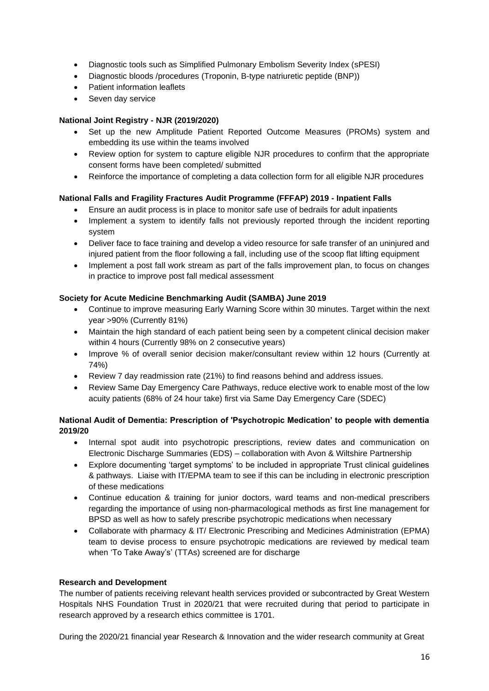- Diagnostic tools such as Simplified Pulmonary Embolism Severity Index (sPESI)
- Diagnostic bloods /procedures (Troponin, B-type natriuretic peptide (BNP))
- Patient information leaflets
- Seven day service

#### **National Joint Registry - NJR (2019/2020)**

- Set up the new Amplitude Patient Reported Outcome Measures (PROMs) system and embedding its use within the teams involved
- Review option for system to capture eligible NJR procedures to confirm that the appropriate consent forms have been completed/ submitted
- Reinforce the importance of completing a data collection form for all eligible NJR procedures

## **National Falls and Fragility Fractures Audit Programme (FFFAP) 2019 - Inpatient Falls**

- Ensure an audit process is in place to monitor safe use of bedrails for adult inpatients
- Implement a system to identify falls not previously reported through the incident reporting system
- Deliver face to face training and develop a video resource for safe transfer of an uninjured and injured patient from the floor following a fall, including use of the scoop flat lifting equipment
- Implement a post fall work stream as part of the falls improvement plan, to focus on changes in practice to improve post fall medical assessment

## **Society for Acute Medicine Benchmarking Audit (SAMBA) June 2019**

- Continue to improve measuring Early Warning Score within 30 minutes. Target within the next year >90% (Currently 81%)
- Maintain the high standard of each patient being seen by a competent clinical decision maker within 4 hours (Currently 98% on 2 consecutive years)
- Improve % of overall senior decision maker/consultant review within 12 hours (Currently at 74%)
- Review 7 day readmission rate (21%) to find reasons behind and address issues.
- Review Same Day Emergency Care Pathways, reduce elective work to enable most of the low acuity patients (68% of 24 hour take) first via Same Day Emergency Care (SDEC)

## **National Audit of Dementia: Prescription of 'Psychotropic Medication' to people with dementia 2019/20**

- Internal spot audit into psychotropic prescriptions, review dates and communication on Electronic Discharge Summaries (EDS) – collaboration with Avon & Wiltshire Partnership
- Explore documenting 'target symptoms' to be included in appropriate Trust clinical guidelines & pathways. Liaise with IT/EPMA team to see if this can be including in electronic prescription of these medications
- Continue education & training for junior doctors, ward teams and non-medical prescribers regarding the importance of using non-pharmacological methods as first line management for BPSD as well as how to safely prescribe psychotropic medications when necessary
- Collaborate with pharmacy & IT/ Electronic Prescribing and Medicines Administration (EPMA) team to devise process to ensure psychotropic medications are reviewed by medical team when 'To Take Away's' (TTAs) screened are for discharge

#### <span id="page-16-0"></span>**Research and Development**

The number of patients receiving relevant health services provided or subcontracted by Great Western Hospitals NHS Foundation Trust in 2020/21 that were recruited during that period to participate in research approved by a research ethics committee is 1701.

During the 2020/21 financial year Research & Innovation and the wider research community at Great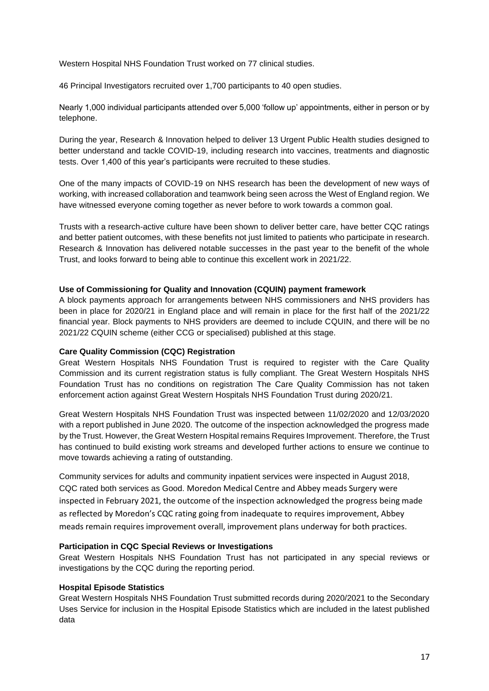Western Hospital NHS Foundation Trust worked on 77 clinical studies.

46 Principal Investigators recruited over 1,700 participants to 40 open studies.

Nearly 1,000 individual participants attended over 5,000 'follow up' appointments, either in person or by telephone.

During the year, Research & Innovation helped to deliver 13 Urgent Public Health studies designed to better understand and tackle COVID-19, including research into vaccines, treatments and diagnostic tests. Over 1,400 of this year's participants were recruited to these studies.

One of the many impacts of COVID-19 on NHS research has been the development of new ways of working, with increased collaboration and teamwork being seen across the West of England region. We have witnessed everyone coming together as never before to work towards a common goal.

Trusts with a research-active culture have been shown to deliver better care, have better CQC ratings and better patient outcomes, with these benefits not just limited to patients who participate in research. Research & Innovation has delivered notable successes in the past year to the benefit of the whole Trust, and looks forward to being able to continue this excellent work in 2021/22.

#### <span id="page-17-0"></span>**Use of Commissioning for Quality and Innovation (CQUIN) payment framework**

A block payments approach for arrangements between NHS commissioners and NHS providers has been in place for 2020/21 in England place and will remain in place for the first half of the 2021/22 financial year. Block payments to NHS providers are deemed to include CQUIN, and there will be no 2021/22 CQUIN scheme (either CCG or specialised) published at this stage.

#### <span id="page-17-1"></span>**Care Quality Commission (CQC) Registration**

Great Western Hospitals NHS Foundation Trust is required to register with the Care Quality Commission and its current registration status is fully compliant. The Great Western Hospitals NHS Foundation Trust has no conditions on registration The Care Quality Commission has not taken enforcement action against Great Western Hospitals NHS Foundation Trust during 2020/21.

Great Western Hospitals NHS Foundation Trust was inspected between 11/02/2020 and 12/03/2020 with a report published in June 2020. The outcome of the inspection acknowledged the progress made by the Trust. However, the Great Western Hospital remains Requires Improvement. Therefore, the Trust has continued to build existing work streams and developed further actions to ensure we continue to move towards achieving a rating of outstanding.

Community services for adults and community inpatient services were inspected in August 2018, CQC rated both services as Good. Moredon Medical Centre and Abbey meads Surgery were inspected in February 2021, the outcome of the inspection acknowledged the progress being made as reflected by Moredon's CQC rating going from inadequate to requires improvement, Abbey meads remain requires improvement overall, improvement plans underway for both practices.

#### <span id="page-17-2"></span>**Participation in CQC Special Reviews or Investigations**

Great Western Hospitals NHS Foundation Trust has not participated in any special reviews or investigations by the CQC during the reporting period.

#### <span id="page-17-3"></span>**Hospital Episode Statistics**

Great Western Hospitals NHS Foundation Trust submitted records during 2020/2021 to the Secondary Uses Service for inclusion in the Hospital Episode Statistics which are included in the latest published data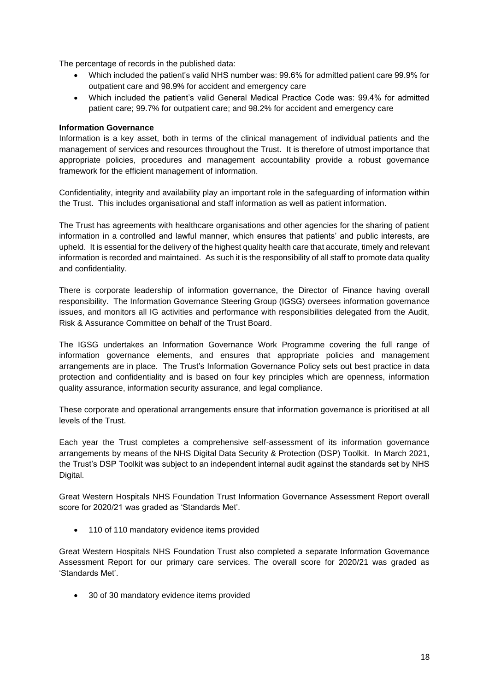The percentage of records in the published data:

- Which included the patient's valid NHS number was: 99.6% for admitted patient care 99.9% for outpatient care and 98.9% for accident and emergency care
- Which included the patient's valid General Medical Practice Code was: 99.4% for admitted patient care; 99.7% for outpatient care; and 98.2% for accident and emergency care

#### <span id="page-18-0"></span>**Information Governance**

Information is a key asset, both in terms of the clinical management of individual patients and the management of services and resources throughout the Trust. It is therefore of utmost importance that appropriate policies, procedures and management accountability provide a robust governance framework for the efficient management of information.

Confidentiality, integrity and availability play an important role in the safeguarding of information within the Trust. This includes organisational and staff information as well as patient information.

The Trust has agreements with healthcare organisations and other agencies for the sharing of patient information in a controlled and lawful manner, which ensures that patients' and public interests, are upheld. It is essential for the delivery of the highest quality health care that accurate, timely and relevant information is recorded and maintained. As such it is the responsibility of all staff to promote data quality and confidentiality.

There is corporate leadership of information governance, the Director of Finance having overall responsibility. The Information Governance Steering Group (IGSG) oversees information governance issues, and monitors all IG activities and performance with responsibilities delegated from the Audit, Risk & Assurance Committee on behalf of the Trust Board.

The IGSG undertakes an Information Governance Work Programme covering the full range of information governance elements, and ensures that appropriate policies and management arrangements are in place. The Trust's Information Governance Policy sets out best practice in data protection and confidentiality and is based on four key principles which are openness, information quality assurance, information security assurance, and legal compliance.

These corporate and operational arrangements ensure that information governance is prioritised at all levels of the Trust.

Each year the Trust completes a comprehensive self-assessment of its information governance arrangements by means of the NHS Digital Data Security & Protection (DSP) Toolkit. In March 2021, the Trust's DSP Toolkit was subject to an independent internal audit against the standards set by NHS Digital.

Great Western Hospitals NHS Foundation Trust Information Governance Assessment Report overall score for 2020/21 was graded as 'Standards Met'.

• 110 of 110 mandatory evidence items provided

Great Western Hospitals NHS Foundation Trust also completed a separate Information Governance Assessment Report for our primary care services. The overall score for 2020/21 was graded as 'Standards Met'.

• 30 of 30 mandatory evidence items provided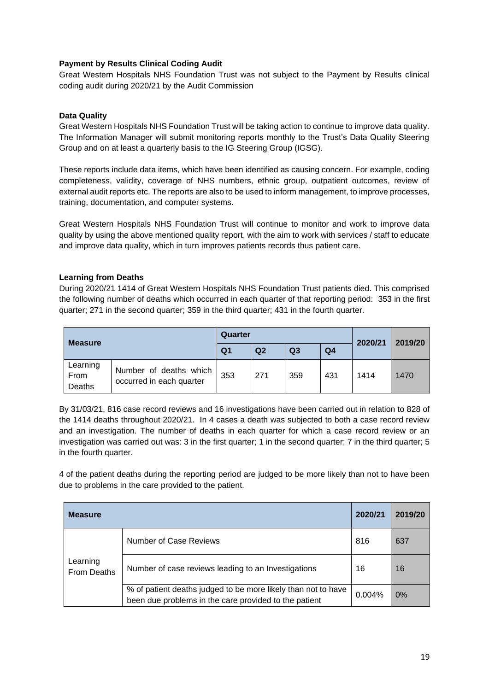#### <span id="page-19-0"></span>**Payment by Results Clinical Coding Audit**

Great Western Hospitals NHS Foundation Trust was not subject to the Payment by Results clinical coding audit during 2020/21 by the Audit Commission

#### <span id="page-19-1"></span>**Data Quality**

Great Western Hospitals NHS Foundation Trust will be taking action to continue to improve data quality. The Information Manager will submit monitoring reports monthly to the Trust's Data Quality Steering Group and on at least a quarterly basis to the IG Steering Group (IGSG).

These reports include data items, which have been identified as causing concern. For example, coding completeness, validity, coverage of NHS numbers, ethnic group, outpatient outcomes, review of external audit reports etc. The reports are also to be used to inform management, to improve processes, training, documentation, and computer systems.

Great Western Hospitals NHS Foundation Trust will continue to monitor and work to improve data quality by using the above mentioned quality report, with the aim to work with services / staff to educate and improve data quality, which in turn improves patients records thus patient care.

## <span id="page-19-2"></span>**Learning from Deaths**

During 2020/21 1414 of Great Western Hospitals NHS Foundation Trust patients died. This comprised the following number of deaths which occurred in each quarter of that reporting period: 353 in the first quarter; 271 in the second quarter; 359 in the third quarter; 431 in the fourth quarter.

| <b>Measure</b>             | Quarter                                            |                |                |                | 2020/21<br>2019/20 |      |      |
|----------------------------|----------------------------------------------------|----------------|----------------|----------------|--------------------|------|------|
|                            |                                                    | Q <sub>1</sub> | Q <sub>2</sub> | Q <sub>3</sub> | Q <sub>4</sub>     |      |      |
| Learning<br>From<br>Deaths | Number of deaths which<br>occurred in each quarter | 353            | 271            | 359            | 431                | 1414 | 1470 |

By 31/03/21, 816 case record reviews and 16 investigations have been carried out in relation to 828 of the 1414 deaths throughout 2020/21. In 4 cases a death was subjected to both a case record review and an investigation. The number of deaths in each quarter for which a case record review or an investigation was carried out was: 3 in the first quarter; 1 in the second quarter; 7 in the third quarter; 5 in the fourth quarter.

4 of the patient deaths during the reporting period are judged to be more likely than not to have been due to problems in the care provided to the patient.

| <b>Measure</b>                 |                                                                                                                        | 2020/21   | 2019/20 |
|--------------------------------|------------------------------------------------------------------------------------------------------------------------|-----------|---------|
|                                | Number of Case Reviews                                                                                                 | 816       | 637     |
| Learning<br><b>From Deaths</b> | Number of case reviews leading to an Investigations                                                                    | 16        | 16      |
|                                | % of patient deaths judged to be more likely than not to have<br>been due problems in the care provided to the patient | $0.004\%$ | 0%      |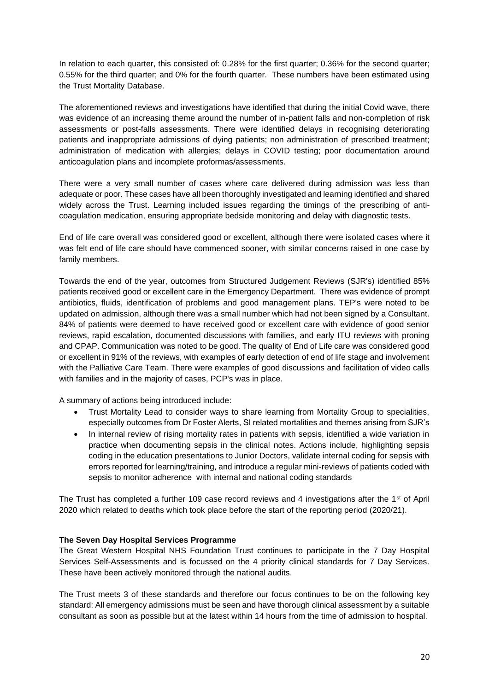In relation to each quarter, this consisted of: 0.28% for the first quarter; 0.36% for the second quarter; 0.55% for the third quarter; and 0% for the fourth quarter. These numbers have been estimated using the Trust Mortality Database.

The aforementioned reviews and investigations have identified that during the initial Covid wave, there was evidence of an increasing theme around the number of in-patient falls and non-completion of risk assessments or post-falls assessments. There were identified delays in recognising deteriorating patients and inappropriate admissions of dying patients; non administration of prescribed treatment; administration of medication with allergies; delays in COVID testing; poor documentation around anticoagulation plans and incomplete proformas/assessments.

There were a very small number of cases where care delivered during admission was less than adequate or poor. These cases have all been thoroughly investigated and learning identified and shared widely across the Trust. Learning included issues regarding the timings of the prescribing of anticoagulation medication, ensuring appropriate bedside monitoring and delay with diagnostic tests.

End of life care overall was considered good or excellent, although there were isolated cases where it was felt end of life care should have commenced sooner, with similar concerns raised in one case by family members.

Towards the end of the year, outcomes from Structured Judgement Reviews (SJR's) identified 85% patients received good or excellent care in the Emergency Department. There was evidence of prompt antibiotics, fluids, identification of problems and good management plans. TEP's were noted to be updated on admission, although there was a small number which had not been signed by a Consultant. 84% of patients were deemed to have received good or excellent care with evidence of good senior reviews, rapid escalation, documented discussions with families, and early ITU reviews with proning and CPAP. Communication was noted to be good. The quality of End of Life care was considered good or excellent in 91% of the reviews, with examples of early detection of end of life stage and involvement with the Palliative Care Team. There were examples of good discussions and facilitation of video calls with families and in the majority of cases, PCP's was in place.

A summary of actions being introduced include:

- Trust Mortality Lead to consider ways to share learning from Mortality Group to specialities, especially outcomes from Dr Foster Alerts, SI related mortalities and themes arising from SJR's
- In internal review of rising mortality rates in patients with sepsis, identified a wide variation in practice when documenting sepsis in the clinical notes. Actions include, highlighting sepsis coding in the education presentations to Junior Doctors, validate internal coding for sepsis with errors reported for learning/training, and introduce a regular mini-reviews of patients coded with sepsis to monitor adherence with internal and national coding standards

The Trust has completed a further 109 case record reviews and 4 investigations after the 1<sup>st</sup> of April 2020 which related to deaths which took place before the start of the reporting period (2020/21).

#### <span id="page-20-0"></span>**The Seven Day Hospital Services Programme**

The Great Western Hospital NHS Foundation Trust continues to participate in the 7 Day Hospital Services Self-Assessments and is focussed on the 4 priority clinical standards for 7 Day Services. These have been actively monitored through the national audits.

The Trust meets 3 of these standards and therefore our focus continues to be on the following key standard: All emergency admissions must be seen and have thorough clinical assessment by a suitable consultant as soon as possible but at the latest within 14 hours from the time of admission to hospital.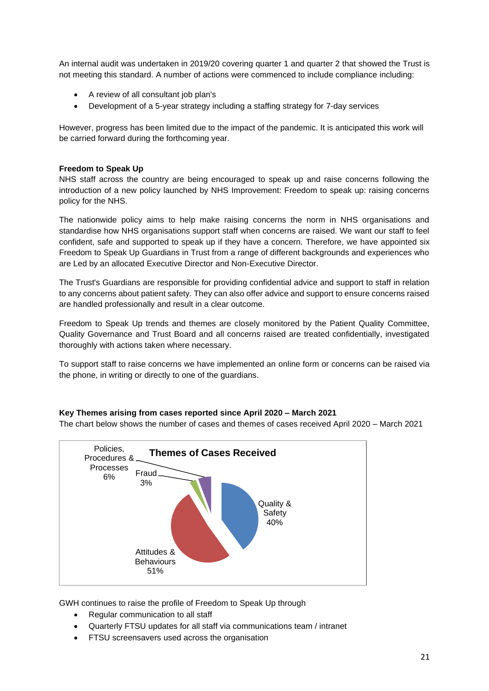An internal audit was undertaken in 2019/20 covering quarter 1 and quarter 2 that showed the Trust is not meeting this standard. A number of actions were commenced to include compliance including:

- A review of all consultant job plan's
- Development of a 5-year strategy including a staffing strategy for 7-day services

However, progress has been limited due to the impact of the pandemic. It is anticipated this work will be carried forward during the forthcoming year.

#### <span id="page-21-0"></span>**Freedom to Speak Up**

NHS staff across the country are being encouraged to speak up and raise concerns following the introduction of a new policy launched by NHS Improvement: Freedom to speak up: raising concerns policy for the NHS.

The nationwide policy aims to help make raising concerns the norm in NHS organisations and standardise how NHS organisations support staff when concerns are raised. We want our staff to feel confident, safe and supported to speak up if they have a concern. Therefore, we have appointed six Freedom to Speak Up Guardians in Trust from a range of different backgrounds and experiences who are Led by an allocated Executive Director and Non-Executive Director.

The Trust's Guardians are responsible for providing confidential advice and support to staff in relation to any concerns about patient safety. They can also offer advice and support to ensure concerns raised are handled professionally and result in a clear outcome.

Freedom to Speak Up trends and themes are closely monitored by the Patient Quality Committee, Quality Governance and Trust Board and all concerns raised are treated confidentially, investigated thoroughly with actions taken where necessary.

To support staff to raise concerns we have implemented an online form or concerns can be raised via the phone, in writing or directly to one of the guardians.

#### **Key Themes arising from cases reported since April 2020 – March 2021**

The chart below shows the number of cases and themes of cases received April 2020 – March 2021



GWH continues to raise the profile of Freedom to Speak Up through

- Regular communication to all staff
- Quarterly FTSU updates for all staff via communications team / intranet
- FTSU screensavers used across the organisation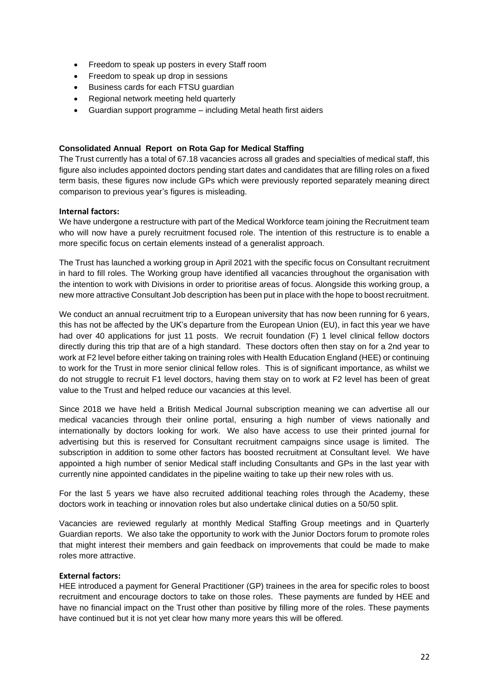- Freedom to speak up posters in every Staff room
- Freedom to speak up drop in sessions
- Business cards for each FTSU guardian
- Regional network meeting held quarterly
- Guardian support programme including Metal heath first aiders

#### <span id="page-22-0"></span>**Consolidated Annual Report on Rota Gap for Medical Staffing**

The Trust currently has a total of 67.18 vacancies across all grades and specialties of medical staff, this figure also includes appointed doctors pending start dates and candidates that are filling roles on a fixed term basis, these figures now include GPs which were previously reported separately meaning direct comparison to previous year's figures is misleading.

#### **Internal factors:**

We have undergone a restructure with part of the Medical Workforce team joining the Recruitment team who will now have a purely recruitment focused role. The intention of this restructure is to enable a more specific focus on certain elements instead of a generalist approach.

The Trust has launched a working group in April 2021 with the specific focus on Consultant recruitment in hard to fill roles. The Working group have identified all vacancies throughout the organisation with the intention to work with Divisions in order to prioritise areas of focus. Alongside this working group, a new more attractive Consultant Job description has been put in place with the hope to boost recruitment.

We conduct an annual recruitment trip to a European university that has now been running for 6 years, this has not be affected by the UK's departure from the European Union (EU), in fact this year we have had over 40 applications for just 11 posts. We recruit foundation (F) 1 level clinical fellow doctors directly during this trip that are of a high standard. These doctors often then stay on for a 2nd year to work at F2 level before either taking on training roles with Health Education England (HEE) or continuing to work for the Trust in more senior clinical fellow roles. This is of significant importance, as whilst we do not struggle to recruit F1 level doctors, having them stay on to work at F2 level has been of great value to the Trust and helped reduce our vacancies at this level.

Since 2018 we have held a British Medical Journal subscription meaning we can advertise all our medical vacancies through their online portal, ensuring a high number of views nationally and internationally by doctors looking for work. We also have access to use their printed journal for advertising but this is reserved for Consultant recruitment campaigns since usage is limited. The subscription in addition to some other factors has boosted recruitment at Consultant level. We have appointed a high number of senior Medical staff including Consultants and GPs in the last year with currently nine appointed candidates in the pipeline waiting to take up their new roles with us.

For the last 5 years we have also recruited additional teaching roles through the Academy, these doctors work in teaching or innovation roles but also undertake clinical duties on a 50/50 split.

Vacancies are reviewed regularly at monthly Medical Staffing Group meetings and in Quarterly Guardian reports. We also take the opportunity to work with the Junior Doctors forum to promote roles that might interest their members and gain feedback on improvements that could be made to make roles more attractive.

#### **External factors:**

HEE introduced a payment for General Practitioner (GP) trainees in the area for specific roles to boost recruitment and encourage doctors to take on those roles. These payments are funded by HEE and have no financial impact on the Trust other than positive by filling more of the roles. These payments have continued but it is not yet clear how many more years this will be offered.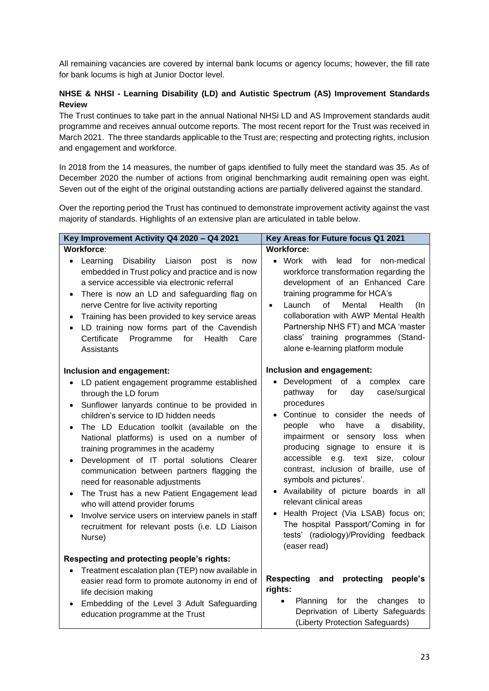All remaining vacancies are covered by internal bank locums or agency locums; however, the fill rate for bank locums is high at Junior Doctor level.

## <span id="page-23-0"></span>**NHSE & NHSI - Learning Disability (LD) and Autistic Spectrum (AS) Improvement Standards Review**

The Trust continues to take part in the annual National NHSi LD and AS Improvement standards audit programme and receives annual outcome reports. The most recent report for the Trust was received in March 2021. The three standards applicable to the Trust are; respecting and protecting rights, inclusion and engagement and workforce.

In 2018 from the 14 measures, the number of gaps identified to fully meet the standard was 35. As of December 2020 the number of actions from original benchmarking audit remaining open was eight. Seven out of the eight of the original outstanding actions are partially delivered against the standard.

Over the reporting period the Trust has continued to demonstrate improvement activity against the vast majority of standards. Highlights of an extensive plan are articulated in table below.

| Key Improvement Activity Q4 2020 - Q4 2021                                                                                                                                                                                                                                                                                                                                                                                                                                                                                                                                                                                                                                                                         | Key Areas for Future focus Q1 2021                                                                                                                                                                                                                                                                                                                                                                                                                                                                                                                                                                        |
|--------------------------------------------------------------------------------------------------------------------------------------------------------------------------------------------------------------------------------------------------------------------------------------------------------------------------------------------------------------------------------------------------------------------------------------------------------------------------------------------------------------------------------------------------------------------------------------------------------------------------------------------------------------------------------------------------------------------|-----------------------------------------------------------------------------------------------------------------------------------------------------------------------------------------------------------------------------------------------------------------------------------------------------------------------------------------------------------------------------------------------------------------------------------------------------------------------------------------------------------------------------------------------------------------------------------------------------------|
| Workforce:                                                                                                                                                                                                                                                                                                                                                                                                                                                                                                                                                                                                                                                                                                         | <b>Workforce:</b>                                                                                                                                                                                                                                                                                                                                                                                                                                                                                                                                                                                         |
| Learning<br>Disability Liaison<br>post<br>is<br>now<br>$\bullet$<br>embedded in Trust policy and practice and is now<br>a service accessible via electronic referral<br>There is now an LD and safeguarding flag on<br>$\bullet$<br>nerve Centre for live activity reporting<br>Training has been provided to key service areas<br>$\bullet$<br>LD training now forms part of the Cavendish<br>$\bullet$<br>Certificate<br>Programme<br>for<br>Health<br>Care<br>Assistants                                                                                                                                                                                                                                        | • Work with<br>lead<br>for<br>non-medical<br>workforce transformation regarding the<br>development of an Enhanced Care<br>training programme for HCA's<br>of<br>Launch<br>Mental<br>Health<br>(In<br>$\bullet$<br>collaboration with AWP Mental Health<br>Partnership NHS FT) and MCA 'master<br>class' training programmes (Stand-<br>alone e-learning platform module                                                                                                                                                                                                                                   |
| Inclusion and engagement:                                                                                                                                                                                                                                                                                                                                                                                                                                                                                                                                                                                                                                                                                          | Inclusion and engagement:                                                                                                                                                                                                                                                                                                                                                                                                                                                                                                                                                                                 |
| LD patient engagement programme established<br>$\bullet$<br>through the LD forum<br>Sunflower lanyards continue to be provided in<br>$\bullet$<br>children's service to ID hidden needs<br>The LD Education toolkit (available on the<br>$\bullet$<br>National platforms) is used on a number of<br>training programmes in the academy<br>Development of IT portal solutions Clearer<br>$\bullet$<br>communication between partners flagging the<br>need for reasonable adjustments<br>The Trust has a new Patient Engagement lead<br>$\bullet$<br>who will attend provider forums<br>Involve service users on interview panels in staff<br>$\bullet$<br>recruitment for relevant posts (i.e. LD Liaison<br>Nurse) | • Development of a complex care<br>pathway<br>for<br>day<br>case/surgical<br>procedures<br>Continue to consider the needs of<br>$\bullet$<br>people<br>who<br>have<br>disability,<br>a<br>impairment or sensory loss when<br>producing signage to ensure it is<br>accessible<br>e.g. text<br>size,<br>colour<br>contrast, inclusion of braille, use of<br>symbols and pictures'.<br>Availability of picture boards in all<br>relevant clinical areas<br>Health Project (Via LSAB) focus on;<br>$\bullet$<br>The hospital Passport/'Coming in for<br>tests' (radiology)/Providing feedback<br>(easer read) |
| Respecting and protecting people's rights:                                                                                                                                                                                                                                                                                                                                                                                                                                                                                                                                                                                                                                                                         |                                                                                                                                                                                                                                                                                                                                                                                                                                                                                                                                                                                                           |
| Treatment escalation plan (TEP) now available in<br>$\bullet$<br>easier read form to promote autonomy in end of<br>life decision making<br>Embedding of the Level 3 Adult Safeguarding<br>$\bullet$<br>education programme at the Trust                                                                                                                                                                                                                                                                                                                                                                                                                                                                            | protecting<br><b>Respecting</b><br>and<br>people's<br>rights:<br>Planning<br>for<br>the<br>changes<br>$\bullet$<br>to<br>Deprivation of Liberty Safeguards<br>(Liberty Protection Safeguards)                                                                                                                                                                                                                                                                                                                                                                                                             |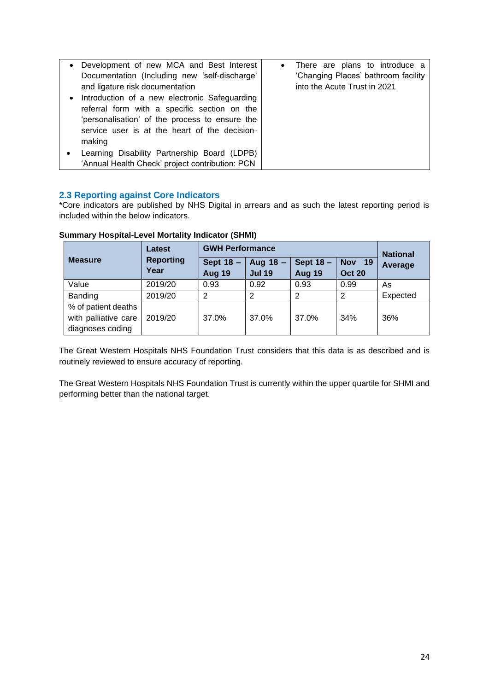| $\bullet$<br>$\bullet$ | Development of new MCA and Best Interest<br>Documentation (Including new 'self-discharge'<br>and ligature risk documentation<br>Introduction of a new electronic Safeguarding<br>referral form with a specific section on the<br>'personalisation' of the process to ensure the<br>service user is at the heart of the decision-<br>making | • There are plans to introduce a<br>'Changing Places' bathroom facility<br>into the Acute Trust in 2021 |
|------------------------|--------------------------------------------------------------------------------------------------------------------------------------------------------------------------------------------------------------------------------------------------------------------------------------------------------------------------------------------|---------------------------------------------------------------------------------------------------------|
|                        | Learning Disability Partnership Board (LDPB)<br>'Annual Health Check' project contribution: PCN                                                                                                                                                                                                                                            |                                                                                                         |

## <span id="page-24-0"></span>**2.3 Reporting against Core Indicators**

\*Core indicators are published by NHS Digital in arrears and as such the latest reporting period is included within the below indicators.

|                                                                 | <b>Latest</b>            | <b>GWH Performance</b>     |                           |                            |                                | <b>National</b>           |
|-----------------------------------------------------------------|--------------------------|----------------------------|---------------------------|----------------------------|--------------------------------|---------------------------|
| <b>Measure</b>                                                  | <b>Reporting</b><br>Year | Sept 18 -<br><b>Aug 19</b> | Aug 18 -<br><b>Jul 19</b> | Sept 18 -<br><b>Aug 19</b> | <b>Nov</b> 19<br><b>Oct 20</b> | Average<br>As<br>Expected |
| Value                                                           | 2019/20                  | 0.93                       | 0.92                      | 0.93                       | 0.99                           |                           |
| Banding                                                         | 2019/20                  | 2                          | $\overline{2}$            | 2                          | $\mathcal{P}$                  |                           |
| % of patient deaths<br>with palliative care<br>diagnoses coding | 2019/20                  | 37.0%                      | 37.0%                     | 37.0%                      | 34%                            | 36%                       |

## <span id="page-24-1"></span>**Summary Hospital-Level Mortality Indicator (SHMI)**

The Great Western Hospitals NHS Foundation Trust considers that this data is as described and is routinely reviewed to ensure accuracy of reporting.

The Great Western Hospitals NHS Foundation Trust is currently within the upper quartile for SHMI and performing better than the national target.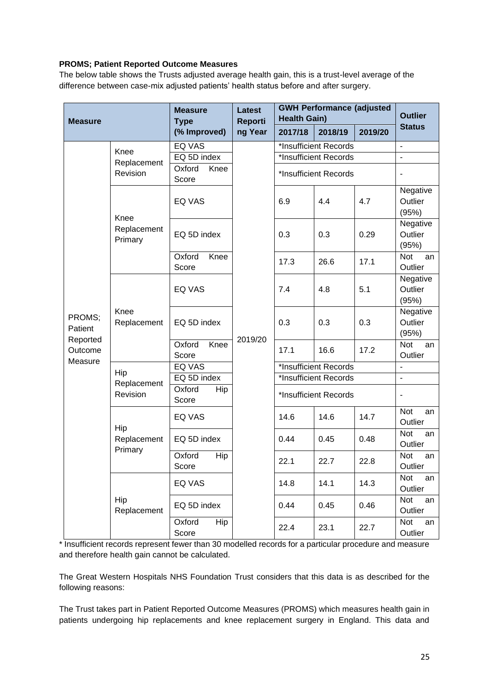## <span id="page-25-0"></span>**PROMS; Patient Reported Outcome Measures**

The below table shows the Trusts adjusted average health gain, this is a trust-level average of the difference between case-mix adjusted patients' health status before and after surgery.

| <b>Measure</b>                 |                                | <b>Measure</b><br><b>Type</b> | <b>Latest</b><br><b>Reporti</b> | <b>GWH Performance (adjusted</b><br><b>Health Gain)</b> | <b>Outlier</b>        |         |                                                                                                                                                                                                                                                                                                                                                    |
|--------------------------------|--------------------------------|-------------------------------|---------------------------------|---------------------------------------------------------|-----------------------|---------|----------------------------------------------------------------------------------------------------------------------------------------------------------------------------------------------------------------------------------------------------------------------------------------------------------------------------------------------------|
|                                |                                | (% Improved)                  | ng Year                         | 2017/18                                                 | 2018/19               | 2019/20 |                                                                                                                                                                                                                                                                                                                                                    |
|                                | Knee                           | <b>EQ VAS</b>                 |                                 |                                                         | *Insufficient Records |         | $\overline{\phantom{a}}$                                                                                                                                                                                                                                                                                                                           |
|                                | Replacement                    | EQ 5D index                   |                                 |                                                         | *Insufficient Records |         | ä,                                                                                                                                                                                                                                                                                                                                                 |
|                                | Revision                       | Oxford<br>Knee<br>Score       |                                 |                                                         | *Insufficient Records |         | <b>Status</b><br>Negative<br>Outlier<br>(95%)<br>Negative<br>Outlier<br>(95%)<br>Not<br>Outlier<br>Negative<br>Outlier<br>(95%)<br>Negative<br>Outlier<br>(95%)<br><b>Not</b><br>Outlier<br>$\overline{\phantom{a}}$<br>$\blacksquare$<br>Not<br>Outlier<br>Not<br>Outlier<br>Not<br>Outlier<br>Not<br>Outlier<br>Not<br>Outlier<br>Not<br>Outlier |
|                                |                                | <b>EQ VAS</b>                 |                                 | 6.9                                                     | 4.4                   | 4.7     |                                                                                                                                                                                                                                                                                                                                                    |
|                                | Knee<br>Replacement<br>Primary | EQ 5D index                   |                                 | 0.3                                                     | 0.3                   | 0.29    |                                                                                                                                                                                                                                                                                                                                                    |
|                                |                                | Knee<br>Oxford<br>Score       |                                 | 17.3                                                    | 26.6                  | 17.1    | an                                                                                                                                                                                                                                                                                                                                                 |
|                                |                                | <b>EQ VAS</b>                 | 2019/20                         | 7.4                                                     | 4.8                   | 5.1     | an<br>an<br>an<br>an<br>an<br>an<br>an                                                                                                                                                                                                                                                                                                             |
| PROMS;<br>Patient              | Knee<br>Replacement            | EQ 5D index                   |                                 | 0.3                                                     | 0.3                   | 0.3     |                                                                                                                                                                                                                                                                                                                                                    |
| Reported<br>Outcome<br>Measure |                                | Oxford<br>Knee<br>Score       |                                 | 17.1                                                    | 16.6                  | 17.2    |                                                                                                                                                                                                                                                                                                                                                    |
|                                | Hip                            | EQ VAS                        |                                 |                                                         | *Insufficient Records |         |                                                                                                                                                                                                                                                                                                                                                    |
|                                | Replacement                    | EQ 5D index                   |                                 |                                                         | *Insufficient Records |         |                                                                                                                                                                                                                                                                                                                                                    |
|                                | Revision                       | Oxford<br><b>Hip</b><br>Score |                                 |                                                         | *Insufficient Records |         |                                                                                                                                                                                                                                                                                                                                                    |
|                                | Hip                            | <b>EQ VAS</b>                 |                                 | 14.6                                                    | 14.6                  | 14.7    |                                                                                                                                                                                                                                                                                                                                                    |
|                                | Replacement<br>Primary         | EQ 5D index                   |                                 | 0.44                                                    | 0.45                  | 0.48    |                                                                                                                                                                                                                                                                                                                                                    |
|                                |                                | Oxford<br>Hip<br>Score        |                                 | 22.1                                                    | 22.7                  | 22.8    |                                                                                                                                                                                                                                                                                                                                                    |
|                                |                                | EQ VAS                        |                                 | 14.8                                                    | 14.1                  | 14.3    |                                                                                                                                                                                                                                                                                                                                                    |
|                                | Hip<br>Replacement             | EQ 5D index                   |                                 | 0.44                                                    | 0.45                  | 0.46    |                                                                                                                                                                                                                                                                                                                                                    |
|                                |                                | Hip<br>Oxford<br>Score        |                                 | 22.4                                                    | 23.1                  | 22.7    |                                                                                                                                                                                                                                                                                                                                                    |

\* Insufficient records represent fewer than 30 modelled records for a particular procedure and measure and therefore health gain cannot be calculated.

The Great Western Hospitals NHS Foundation Trust considers that this data is as described for the following reasons:

The Trust takes part in Patient Reported Outcome Measures (PROMS) which measures health gain in patients undergoing hip replacements and knee replacement surgery in England. This data and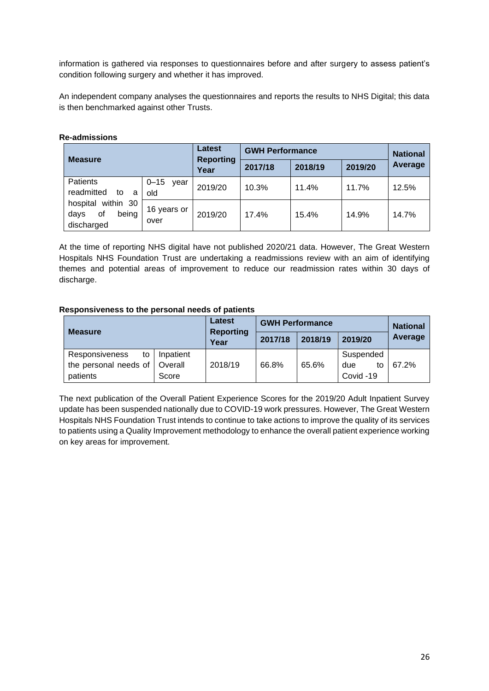information is gathered via responses to questionnaires before and after surgery to assess patient's condition following surgery and whether it has improved.

An independent company analyses the questionnaires and reports the results to NHS Digital; this data is then benchmarked against other Trusts.

| <b>Measure</b>                                             |                         | Latest<br><b>Reporting</b> | <b>GWH Performance</b> |         | <b>National</b> |         |
|------------------------------------------------------------|-------------------------|----------------------------|------------------------|---------|-----------------|---------|
|                                                            |                         | Year                       | 2017/18                | 2018/19 | 2019/20         | Average |
| Patients<br>readmitted<br>to<br>a                          | $0 - 15$<br>vear<br>old | 2019/20                    | 10.3%                  | 11.4%   | 11.7%           | 12.5%   |
| within 30<br>hospital<br>being<br>οf<br>days<br>discharged | 16 years or<br>over     | 2019/20                    | 17.4%                  | 15.4%   | 14.9%           | 14.7%   |

#### <span id="page-26-0"></span>**Re-admissions**

At the time of reporting NHS digital have not published 2020/21 data. However, The Great Western Hospitals NHS Foundation Trust are undertaking a readmissions review with an aim of identifying themes and potential areas of improvement to reduce our readmission rates within 30 days of discharge.

#### <span id="page-26-1"></span>**Responsiveness to the personal needs of patients**

| <b>Measure</b>              |           | Latest<br><b>Reporting</b> | <b>GWH Performance</b> |         |           | <b>National</b> |
|-----------------------------|-----------|----------------------------|------------------------|---------|-----------|-----------------|
|                             |           | Year                       | 2017/18                | 2018/19 | 2019/20   | Average         |
| <b>Responsiveness</b><br>to | Inpatient |                            |                        |         | Suspended |                 |
| the personal needs of       | Overall   | 2018/19                    | 66.8%                  | 65.6%   | due<br>to | 67.2%           |
| patients                    | Score     |                            |                        |         | Covid -19 |                 |

The next publication of the Overall Patient Experience Scores for the 2019/20 Adult Inpatient Survey update has been suspended nationally due to COVID-19 work pressures. However, The Great Western Hospitals NHS Foundation Trust intends to continue to take actions to improve the quality of its services to patients using a Quality Improvement methodology to enhance the overall patient experience working on key areas for improvement.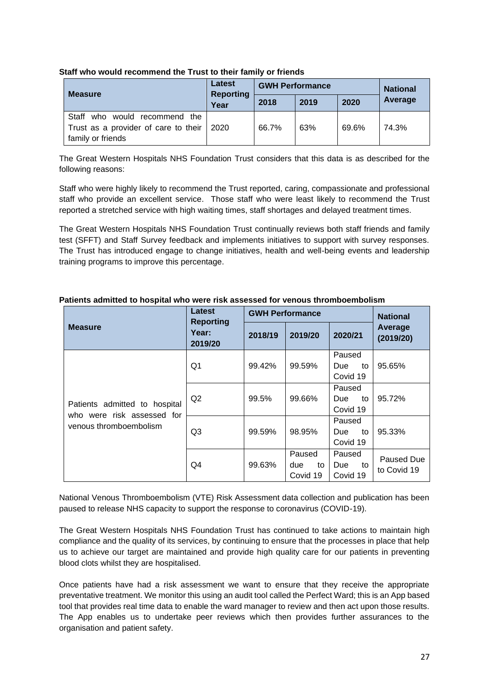|                                                                                                      | Latest                   | <b>GWH Performance</b> |      |       | <b>National</b> |
|------------------------------------------------------------------------------------------------------|--------------------------|------------------------|------|-------|-----------------|
| <b>Measure</b>                                                                                       | <b>Reporting</b><br>Year | 2018                   | 2019 | 2020  | Average         |
| Staff<br>who would recommend the<br>Trust as a provider of care to their   2020<br>family or friends |                          | 66.7%                  | 63%  | 69.6% | 74.3%           |

## <span id="page-27-0"></span>**Staff who would recommend the Trust to their family or friends**

The Great Western Hospitals NHS Foundation Trust considers that this data is as described for the following reasons:

Staff who were highly likely to recommend the Trust reported, caring, compassionate and professional staff who provide an excellent service. Those staff who were least likely to recommend the Trust reported a stretched service with high waiting times, staff shortages and delayed treatment times.

The Great Western Hospitals NHS Foundation Trust continually reviews both staff friends and family test (SFFT) and Staff Survey feedback and implements initiatives to support with survey responses. The Trust has introduced engage to change initiatives, health and well-being events and leadership training programs to improve this percentage.

|                                                                                       | Latest                               | <b>GWH Performance</b> | <b>National</b>                 |                                        |                           |  |
|---------------------------------------------------------------------------------------|--------------------------------------|------------------------|---------------------------------|----------------------------------------|---------------------------|--|
| <b>Measure</b>                                                                        | <b>Reporting</b><br>Year:<br>2019/20 | 2018/19                | 2019/20                         | 2020/21                                | Average<br>(2019/20)      |  |
| Patients admitted to hospital<br>who were risk assessed for<br>venous thromboembolism | Q1                                   | 99.42%                 | 99.59%                          | Paused<br><b>Due</b><br>to<br>Covid 19 | 95.65%                    |  |
|                                                                                       | Q2                                   | 99.5%                  | 99.66%                          | Paused<br><b>Due</b><br>to<br>Covid 19 | 95.72%                    |  |
|                                                                                       | Q <sub>3</sub>                       | 99.59%                 | 98.95%                          | Paused<br>Due<br>to<br>Covid 19        | 95.33%                    |  |
|                                                                                       | Q4                                   | 99.63%                 | Paused<br>due<br>to<br>Covid 19 | Paused<br>Due<br>to<br>Covid 19        | Paused Due<br>to Covid 19 |  |

## <span id="page-27-1"></span>**Patients admitted to hospital who were risk assessed for venous thromboembolism**

National Venous Thromboembolism (VTE) Risk Assessment data collection and publication has been paused to release NHS capacity to support the response to coronavirus (COVID-19).

The Great Western Hospitals NHS Foundation Trust has continued to take actions to maintain high compliance and the quality of its services, by continuing to ensure that the processes in place that help us to achieve our target are maintained and provide high quality care for our patients in preventing blood clots whilst they are hospitalised.

Once patients have had a risk assessment we want to ensure that they receive the appropriate preventative treatment. We monitor this using an audit tool called the Perfect Ward; this is an App based tool that provides real time data to enable the ward manager to review and then act upon those results. The App enables us to undertake peer reviews which then provides further assurances to the organisation and patient safety.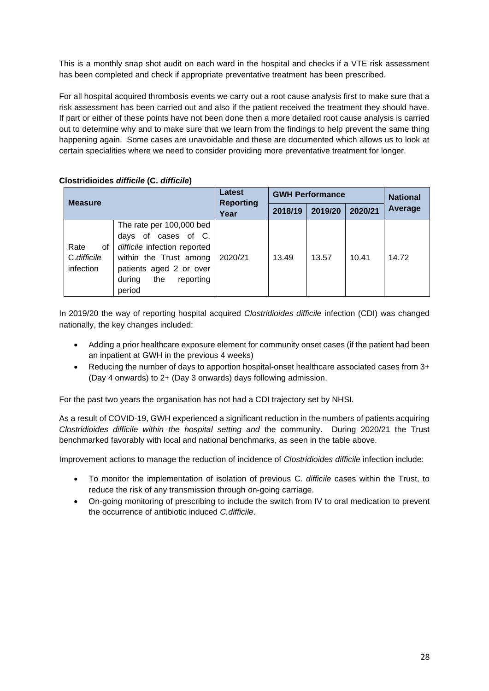This is a monthly snap shot audit on each ward in the hospital and checks if a VTE risk assessment has been completed and check if appropriate preventative treatment has been prescribed.

For all hospital acquired thrombosis events we carry out a root cause analysis first to make sure that a risk assessment has been carried out and also if the patient received the treatment they should have. If part or either of these points have not been done then a more detailed root cause analysis is carried out to determine why and to make sure that we learn from the findings to help prevent the same thing happening again. Some cases are unavoidable and these are documented which allows us to look at certain specialities where we need to consider providing more preventative treatment for longer.

## <span id="page-28-0"></span>**Clostridioides** *difficile* **(C.** *difficile***)**

| <b>Measure</b>                         |                                                                                                                                                                              | Latest<br><b>Reporting</b><br>Year | <b>GWH Performance</b> |         |         | <b>National</b> |
|----------------------------------------|------------------------------------------------------------------------------------------------------------------------------------------------------------------------------|------------------------------------|------------------------|---------|---------|-----------------|
|                                        |                                                                                                                                                                              |                                    | 2018/19                | 2019/20 | 2020/21 | Average         |
| Rate<br>οf<br>C.difficile<br>infection | The rate per 100,000 bed<br>days of cases of C.<br>difficile infection reported<br>within the Trust among<br>patients aged 2 or over<br>the<br>reporting<br>during<br>period | 2020/21                            | 13.49                  | 13.57   | 10.41   | 14.72           |

In 2019/20 the way of reporting hospital acquired *Clostridioides difficile* infection (CDI) was changed nationally, the key changes included:

- Adding a prior healthcare exposure element for community onset cases (if the patient had been an inpatient at GWH in the previous 4 weeks)
- Reducing the number of days to apportion hospital-onset healthcare associated cases from 3+ (Day 4 onwards) to 2+ (Day 3 onwards) days following admission.

For the past two years the organisation has not had a CDI trajectory set by NHSI.

As a result of COVID-19, GWH experienced a significant reduction in the numbers of patients acquiring *Clostridioides difficile within the hospital setting and* the community. During 2020/21 the Trust benchmarked favorably with local and national benchmarks, as seen in the table above.

Improvement actions to manage the reduction of incidence of *Clostridioides difficile* infection include:

- To monitor the implementation of isolation of previous C. *difficile* cases within the Trust, to reduce the risk of any transmission through on-going carriage.
- On-going monitoring of prescribing to include the switch from IV to oral medication to prevent the occurrence of antibiotic induced *C.difficile*.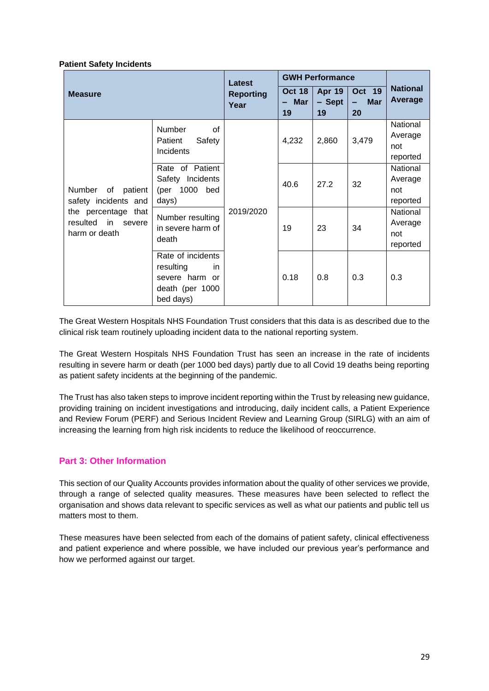#### <span id="page-29-0"></span>**Patient Safety Incidents**

| <b>Measure</b>                                                                                                   |                                                                                               | Latest                   | <b>GWH Performance</b>       |                               |                                        |                                        |
|------------------------------------------------------------------------------------------------------------------|-----------------------------------------------------------------------------------------------|--------------------------|------------------------------|-------------------------------|----------------------------------------|----------------------------------------|
|                                                                                                                  |                                                                                               | <b>Reporting</b><br>Year | <b>Oct 18</b><br>– Mar<br>19 | <b>Apr 19</b><br>- Sept<br>19 | <b>Oct 19</b><br><b>Mar</b><br>۰<br>20 | <b>National</b><br>Average             |
| Number<br>of<br>patient<br>safety incidents and<br>the percentage that<br>resulted in<br>severe<br>harm or death | <b>Number</b><br>of<br>Safety<br>Patient<br>Incidents                                         | 2019/2020                | 4,232                        | 2,860                         | 3,479                                  | National<br>Average<br>not<br>reported |
|                                                                                                                  | Rate of Patient<br>Safety Incidents<br>(per 1000 bed<br>days)                                 |                          | 40.6                         | 27.2                          | 32                                     | National<br>Average<br>not<br>reported |
|                                                                                                                  | Number resulting<br>in severe harm of<br>death                                                |                          | 19                           | 23                            | 34                                     | National<br>Average<br>not<br>reported |
|                                                                                                                  | Rate of incidents<br>resulting<br><i>in</i><br>severe harm or<br>death (per 1000<br>bed days) |                          | 0.18                         | 0.8                           | 0.3                                    | 0.3                                    |

The Great Western Hospitals NHS Foundation Trust considers that this data is as described due to the clinical risk team routinely uploading incident data to the national reporting system.

The Great Western Hospitals NHS Foundation Trust has seen an increase in the rate of incidents resulting in severe harm or death (per 1000 bed days) partly due to all Covid 19 deaths being reporting as patient safety incidents at the beginning of the pandemic.

The Trust has also taken steps to improve incident reporting within the Trust by releasing new guidance, providing training on incident investigations and introducing, daily incident calls, a Patient Experience and Review Forum (PERF) and Serious Incident Review and Learning Group (SIRLG) with an aim of increasing the learning from high risk incidents to reduce the likelihood of reoccurrence.

## <span id="page-29-1"></span>**Part 3: Other Information**

This section of our Quality Accounts provides information about the quality of other services we provide, through a range of selected quality measures. These measures have been selected to reflect the organisation and shows data relevant to specific services as well as what our patients and public tell us matters most to them.

These measures have been selected from each of the domains of patient safety, clinical effectiveness and patient experience and where possible, we have included our previous year's performance and how we performed against our target.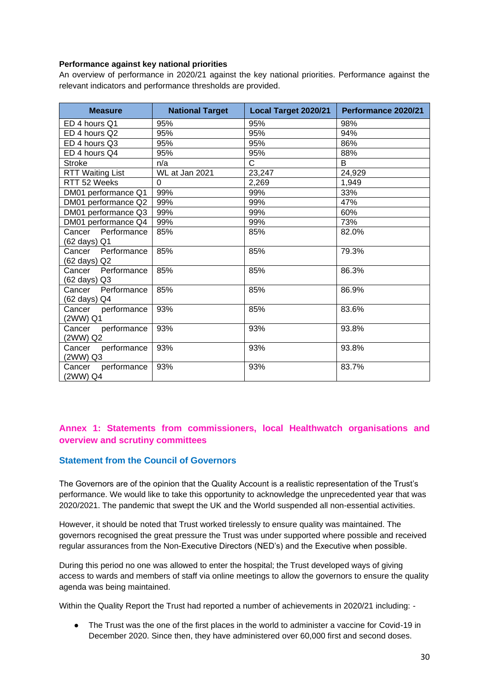#### <span id="page-30-0"></span>**Performance against key national priorities**

An overview of performance in 2020/21 against the key national priorities. Performance against the relevant indicators and performance thresholds are provided.

| <b>Measure</b>          | <b>National Target</b> | Local Target 2020/21 | Performance 2020/21 |
|-------------------------|------------------------|----------------------|---------------------|
| ED 4 hours Q1           | 95%                    | 95%                  | 98%                 |
| ED 4 hours Q2           | 95%                    | 95%                  | 94%                 |
| ED 4 hours Q3           | 95%                    | 95%                  | 86%                 |
| ED 4 hours Q4           | 95%                    | 95%                  | 88%                 |
| <b>Stroke</b>           | n/a                    | C                    | B                   |
| <b>RTT Waiting List</b> | WL at Jan 2021         | 23,247               | 24,929              |
| RTT 52 Weeks            | $\Omega$               | 2,269                | 1,949               |
| DM01 performance Q1     | 99%                    | 99%                  | 33%                 |
| DM01 performance Q2     | 99%                    | 99%                  | 47%                 |
| DM01 performance Q3     | 99%                    | 99%                  | 60%                 |
| DM01 performance Q4     | 99%                    | 99%                  | 73%                 |
| Cancer Performance      | 85%                    | 85%                  | 82.0%               |
| (62 days) Q1            |                        |                      |                     |
| Cancer Performance      | 85%                    | 85%                  | 79.3%               |
| (62 days) Q2            |                        |                      |                     |
| Performance<br>Cancer   | 85%                    | 85%                  | 86.3%               |
| (62 days) Q3            |                        |                      |                     |
| Performance<br>Cancer   | 85%                    | 85%                  | 86.9%               |
| (62 days) Q4            |                        |                      |                     |
| performance<br>Cancer   | 93%                    | 85%                  | 83.6%               |
| (2WW) Q1                |                        |                      |                     |
| Cancer performance      | 93%                    | 93%                  | 93.8%               |
| (2WW) Q2                |                        |                      |                     |
| performance<br>Cancer   | 93%                    | 93%                  | 93.8%               |
| (2WW) Q3                |                        |                      |                     |
| performance<br>Cancer   | 93%                    | 93%                  | 83.7%               |
| (2WW) Q4                |                        |                      |                     |

# <span id="page-30-1"></span>**Annex 1: Statements from commissioners, local Healthwatch organisations and overview and scrutiny committees**

## <span id="page-30-2"></span>**Statement from the Council of Governors**

The Governors are of the opinion that the Quality Account is a realistic representation of the Trust's performance. We would like to take this opportunity to acknowledge the unprecedented year that was 2020/2021. The pandemic that swept the UK and the World suspended all non-essential activities.

However, it should be noted that Trust worked tirelessly to ensure quality was maintained. The governors recognised the great pressure the Trust was under supported where possible and received regular assurances from the Non-Executive Directors (NED's) and the Executive when possible.

During this period no one was allowed to enter the hospital; the Trust developed ways of giving access to wards and members of staff via online meetings to allow the governors to ensure the quality agenda was being maintained.

Within the Quality Report the Trust had reported a number of achievements in 2020/21 including: -

● The Trust was the one of the first places in the world to administer a vaccine for Covid-19 in December 2020. Since then, they have administered over 60,000 first and second doses.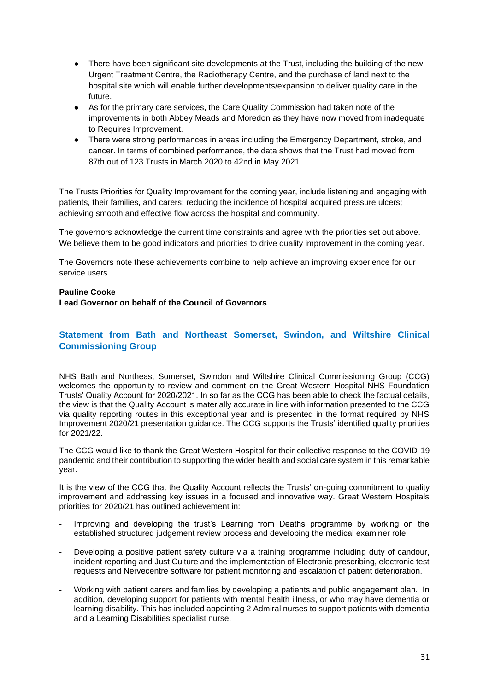- There have been significant site developments at the Trust, including the building of the new Urgent Treatment Centre, the Radiotherapy Centre, and the purchase of land next to the hospital site which will enable further developments/expansion to deliver quality care in the future.
- As for the primary care services, the Care Quality Commission had taken note of the improvements in both Abbey Meads and Moredon as they have now moved from inadequate to Requires Improvement.
- There were strong performances in areas including the Emergency Department, stroke, and cancer. In terms of combined performance, the data shows that the Trust had moved from 87th out of 123 Trusts in March 2020 to 42nd in May 2021.

The Trusts Priorities for Quality Improvement for the coming year, include listening and engaging with patients, their families, and carers; reducing the incidence of hospital acquired pressure ulcers; achieving smooth and effective flow across the hospital and community.

The governors acknowledge the current time constraints and agree with the priorities set out above. We believe them to be good indicators and priorities to drive quality improvement in the coming year.

The Governors note these achievements combine to help achieve an improving experience for our service users.

#### **Pauline Cooke**

#### **Lead Governor on behalf of the Council of Governors**

## <span id="page-31-0"></span>**Statement from Bath and Northeast Somerset, Swindon, and Wiltshire Clinical Commissioning Group**

<span id="page-31-1"></span>NHS Bath and Northeast Somerset, Swindon and Wiltshire Clinical Commissioning Group (CCG) welcomes the opportunity to review and comment on the Great Western Hospital NHS Foundation Trusts' Quality Account for 2020/2021. In so far as the CCG has been able to check the factual details, the view is that the Quality Account is materially accurate in line with information presented to the CCG via quality reporting routes in this exceptional year and is presented in the format required by NHS Improvement 2020/21 presentation guidance. The CCG supports the Trusts' identified quality priorities for 2021/22.

The CCG would like to thank the Great Western Hospital for their collective response to the COVID-19 pandemic and their contribution to supporting the wider health and social care system in this remarkable year.

It is the view of the CCG that the Quality Account reflects the Trusts' on-going commitment to quality improvement and addressing key issues in a focused and innovative way. Great Western Hospitals priorities for 2020/21 has outlined achievement in:

- Improving and developing the trust's Learning from Deaths programme by working on the established structured judgement review process and developing the medical examiner role.
- Developing a positive patient safety culture via a training programme including duty of candour, incident reporting and Just Culture and the implementation of Electronic prescribing, electronic test requests and Nervecentre software for patient monitoring and escalation of patient deterioration.
- Working with patient carers and families by developing a patients and public engagement plan. In addition, developing support for patients with mental health illness, or who may have dementia or learning disability. This has included appointing 2 Admiral nurses to support patients with dementia and a Learning Disabilities specialist nurse.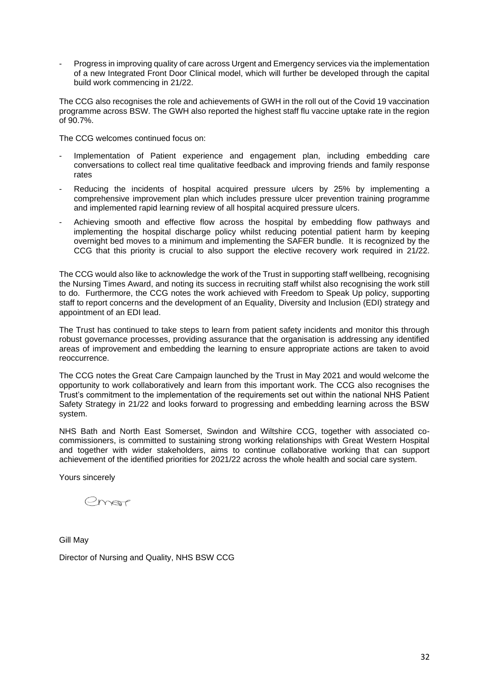Progress in improving quality of care across Urgent and Emergency services via the implementation of a new Integrated Front Door Clinical model, which will further be developed through the capital build work commencing in 21/22.

The CCG also recognises the role and achievements of GWH in the roll out of the Covid 19 vaccination programme across BSW. The GWH also reported the highest staff flu vaccine uptake rate in the region of 90.7%.

The CCG welcomes continued focus on:

- Implementation of Patient experience and engagement plan, including embedding care conversations to collect real time qualitative feedback and improving friends and family response rates
- Reducing the incidents of hospital acquired pressure ulcers by 25% by implementing a comprehensive improvement plan which includes pressure ulcer prevention training programme and implemented rapid learning review of all hospital acquired pressure ulcers.
- Achieving smooth and effective flow across the hospital by embedding flow pathways and implementing the hospital discharge policy whilst reducing potential patient harm by keeping overnight bed moves to a minimum and implementing the SAFER bundle. It is recognized by the CCG that this priority is crucial to also support the elective recovery work required in 21/22.

The CCG would also like to acknowledge the work of the Trust in supporting staff wellbeing, recognising the Nursing Times Award, and noting its success in recruiting staff whilst also recognising the work still to do. Furthermore, the CCG notes the work achieved with Freedom to Speak Up policy, supporting staff to report concerns and the development of an Equality, Diversity and Inclusion (EDI) strategy and appointment of an EDI lead.

The Trust has continued to take steps to learn from patient safety incidents and monitor this through robust governance processes, providing assurance that the organisation is addressing any identified areas of improvement and embedding the learning to ensure appropriate actions are taken to avoid reoccurrence.

The CCG notes the Great Care Campaign launched by the Trust in May 2021 and would welcome the opportunity to work collaboratively and learn from this important work. The CCG also recognises the Trust's commitment to the implementation of the requirements set out within the national NHS Patient Safety Strategy in 21/22 and looks forward to progressing and embedding learning across the BSW system.

NHS Bath and North East Somerset, Swindon and Wiltshire CCG, together with associated cocommissioners, is committed to sustaining strong working relationships with Great Western Hospital and together with wider stakeholders, aims to continue collaborative working that can support achievement of the identified priorities for 2021/22 across the whole health and social care system.

Yours sincerely

emor

Gill May

Director of Nursing and Quality, NHS BSW CCG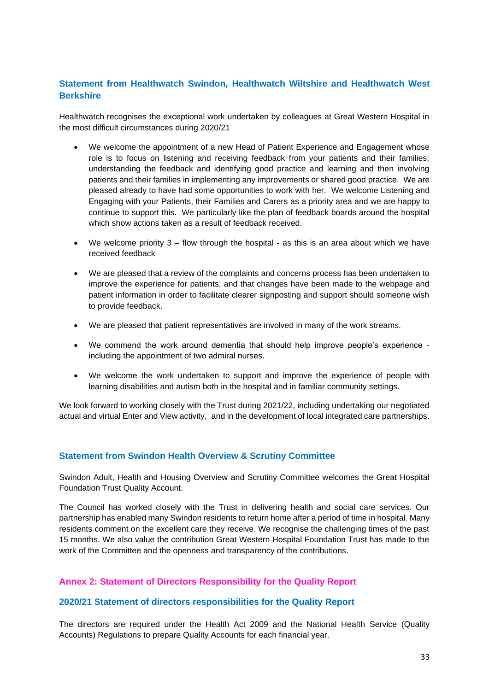# **Statement from Healthwatch Swindon, Healthwatch Wiltshire and Healthwatch West Berkshire**

Healthwatch recognises the exceptional work undertaken by colleagues at Great Western Hospital in the most difficult circumstances during 2020/21

- We welcome the appointment of a new Head of Patient Experience and Engagement whose role is to focus on listening and receiving feedback from your patients and their families; understanding the feedback and identifying good practice and learning and then involving patients and their families in implementing any improvements or shared good practice. We are pleased already to have had some opportunities to work with her. We welcome Listening and Engaging with your Patients, their Families and Carers as a priority area and we are happy to continue to support this. We particularly like the plan of feedback boards around the hospital which show actions taken as a result of feedback received.
- We welcome priority  $3 -$  flow through the hospital as this is an area about which we have received feedback
- We are pleased that a review of the complaints and concerns process has been undertaken to improve the experience for patients; and that changes have been made to the webpage and patient information in order to facilitate clearer signposting and support should someone wish to provide feedback.
- We are pleased that patient representatives are involved in many of the work streams.
- We commend the work around dementia that should help improve people's experience including the appointment of two admiral nurses.
- We welcome the work undertaken to support and improve the experience of people with learning disabilities and autism both in the hospital and in familiar community settings.

We look forward to working closely with the Trust during 2021/22, including undertaking our negotiated actual and virtual Enter and View activity, and in the development of local integrated care partnerships.

#### <span id="page-33-0"></span>**Statement from Swindon Health Overview & Scrutiny Committee**

Swindon Adult, Health and Housing Overview and Scrutiny Committee welcomes the Great Hospital Foundation Trust Quality Account.

The Council has worked closely with the Trust in delivering health and social care services. Our partnership has enabled many Swindon residents to return home after a period of time in hospital. Many residents comment on the excellent care they receive. We recognise the challenging times of the past 15 months. We also value the contribution Great Western Hospital Foundation Trust has made to the work of the Committee and the openness and transparency of the contributions.

## <span id="page-33-1"></span>**Annex 2: Statement of Directors Responsibility for the Quality Report**

#### <span id="page-33-2"></span>**2020/21 Statement of directors responsibilities for the Quality Report**

The directors are required under the Health Act 2009 and the National Health Service (Quality Accounts) Regulations to prepare Quality Accounts for each financial year.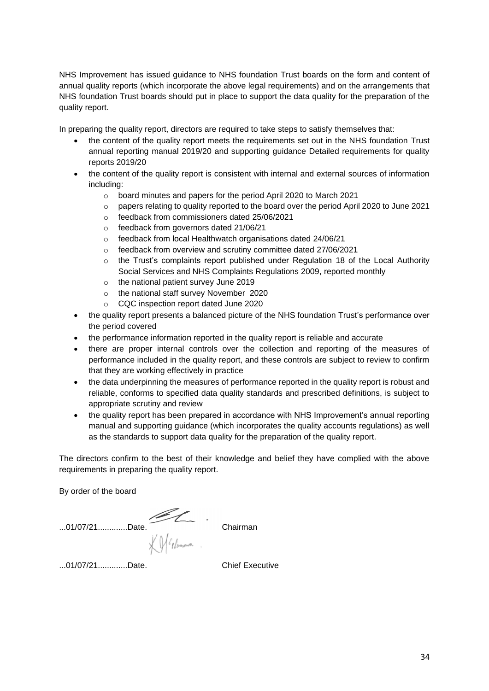NHS Improvement has issued guidance to NHS foundation Trust boards on the form and content of annual quality reports (which incorporate the above legal requirements) and on the arrangements that NHS foundation Trust boards should put in place to support the data quality for the preparation of the quality report.

In preparing the quality report, directors are required to take steps to satisfy themselves that:

- the content of the quality report meets the requirements set out in the NHS foundation Trust annual reporting manual 2019/20 and supporting guidance Detailed requirements for quality reports 2019/20
- the content of the quality report is consistent with internal and external sources of information including:
	- o board minutes and papers for the period April 2020 to March 2021
	- $\circ$  papers relating to quality reported to the board over the period April 2020 to June 2021
	- o feedback from commissioners dated 25/06/2021
	- o feedback from governors dated 21/06/21
	- o feedback from local Healthwatch organisations dated 24/06/21
	- o feedback from overview and scrutiny committee dated 27/06/2021
	- $\circ$  the Trust's complaints report published under Regulation 18 of the Local Authority Social Services and NHS Complaints Regulations 2009, reported monthly
	- o the national patient survey June 2019
	- o the national staff survey November 2020
	- o CQC inspection report dated June 2020
- the quality report presents a balanced picture of the NHS foundation Trust's performance over the period covered
- the performance information reported in the quality report is reliable and accurate
- there are proper internal controls over the collection and reporting of the measures of performance included in the quality report, and these controls are subject to review to confirm that they are working effectively in practice
- the data underpinning the measures of performance reported in the quality report is robust and reliable, conforms to specified data quality standards and prescribed definitions, is subject to appropriate scrutiny and review
- the quality report has been prepared in accordance with NHS Improvement's annual reporting manual and supporting guidance (which incorporates the quality accounts regulations) as well as the standards to support data quality for the preparation of the quality report.

The directors confirm to the best of their knowledge and belief they have complied with the above requirements in preparing the quality report.

By order of the board

...01/07/21.............Date. Chairman Chairman

...01/07/21.............Date. Chief Executive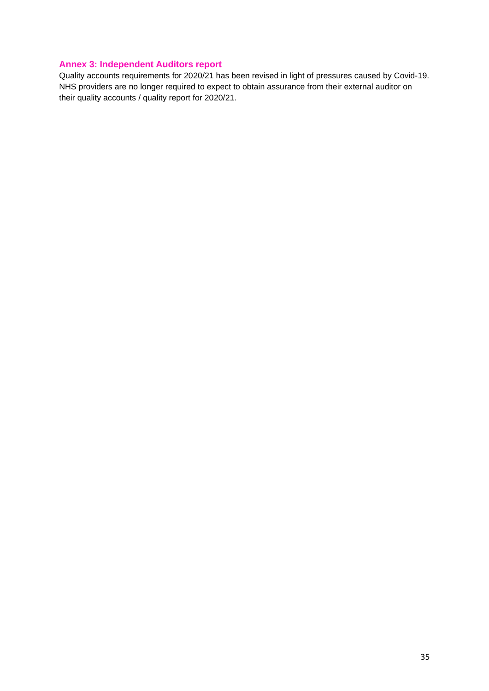# <span id="page-35-0"></span>**Annex 3: Independent Auditors report**

Quality accounts requirements for 2020/21 has been revised in light of pressures caused by Covid-19. NHS providers are no longer required to expect to obtain assurance from their external auditor on their quality accounts / quality report for 2020/21.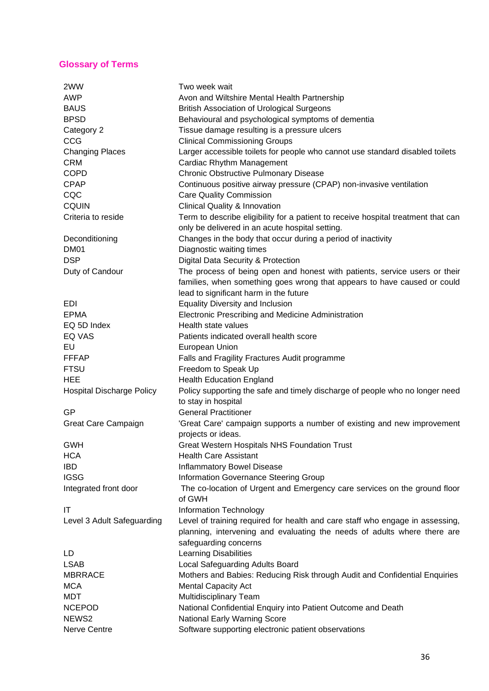# <span id="page-36-0"></span>**Glossary of Terms**

| 2WW                              | Two week wait                                                                     |
|----------------------------------|-----------------------------------------------------------------------------------|
| <b>AWP</b>                       | Avon and Wiltshire Mental Health Partnership                                      |
| <b>BAUS</b>                      | <b>British Association of Urological Surgeons</b>                                 |
| <b>BPSD</b>                      | Behavioural and psychological symptoms of dementia                                |
| Category 2                       | Tissue damage resulting is a pressure ulcers                                      |
| CCG                              | <b>Clinical Commissioning Groups</b>                                              |
| <b>Changing Places</b>           | Larger accessible toilets for people who cannot use standard disabled toilets     |
| <b>CRM</b>                       | Cardiac Rhythm Management                                                         |
| <b>COPD</b>                      | Chronic Obstructive Pulmonary Disease                                             |
| <b>CPAP</b>                      | Continuous positive airway pressure (CPAP) non-invasive ventilation               |
| CQC                              | <b>Care Quality Commission</b>                                                    |
| <b>CQUIN</b>                     | <b>Clinical Quality &amp; Innovation</b>                                          |
| Criteria to reside               | Term to describe eligibility for a patient to receive hospital treatment that can |
|                                  | only be delivered in an acute hospital setting.                                   |
| Deconditioning                   | Changes in the body that occur during a period of inactivity                      |
| DM <sub>01</sub>                 | Diagnostic waiting times                                                          |
| <b>DSP</b>                       | Digital Data Security & Protection                                                |
| Duty of Candour                  | The process of being open and honest with patients, service users or their        |
|                                  |                                                                                   |
|                                  | families, when something goes wrong that appears to have caused or could          |
|                                  | lead to significant harm in the future                                            |
| <b>EDI</b>                       | <b>Equality Diversity and Inclusion</b>                                           |
| <b>EPMA</b>                      | Electronic Prescribing and Medicine Administration                                |
| EQ 5D Index                      | Health state values                                                               |
| <b>EQ VAS</b>                    | Patients indicated overall health score                                           |
| EU                               | European Union                                                                    |
| <b>FFFAP</b>                     | Falls and Fragility Fractures Audit programme                                     |
| <b>FTSU</b>                      | Freedom to Speak Up                                                               |
| <b>HEE</b>                       | <b>Health Education England</b>                                                   |
| <b>Hospital Discharge Policy</b> | Policy supporting the safe and timely discharge of people who no longer need      |
|                                  | to stay in hospital                                                               |
| GP                               | <b>General Practitioner</b>                                                       |
| Great Care Campaign              | 'Great Care' campaign supports a number of existing and new improvement           |
|                                  | projects or ideas.                                                                |
| <b>GWH</b>                       | <b>Great Western Hospitals NHS Foundation Trust</b>                               |
| <b>HCA</b>                       | <b>Health Care Assistant</b>                                                      |
| <b>IBD</b>                       | <b>Inflammatory Bowel Disease</b>                                                 |
| <b>IGSG</b>                      | <b>Information Governance Steering Group</b>                                      |
| Integrated front door            | The co-location of Urgent and Emergency care services on the ground floor         |
|                                  | of GWH                                                                            |
| IT                               | Information Technology                                                            |
| Level 3 Adult Safeguarding       | Level of training required for health and care staff who engage in assessing,     |
|                                  | planning, intervening and evaluating the needs of adults where there are          |
|                                  | safeguarding concerns                                                             |
| LD                               | <b>Learning Disabilities</b>                                                      |
| <b>LSAB</b>                      | Local Safeguarding Adults Board                                                   |
| <b>MBRRACE</b>                   | Mothers and Babies: Reducing Risk through Audit and Confidential Enquiries        |
| <b>MCA</b>                       | <b>Mental Capacity Act</b>                                                        |
| <b>MDT</b>                       | Multidisciplinary Team                                                            |
| <b>NCEPOD</b>                    | National Confidential Enquiry into Patient Outcome and Death                      |
| NEWS2                            | National Early Warning Score                                                      |
| Nerve Centre                     | Software supporting electronic patient observations                               |